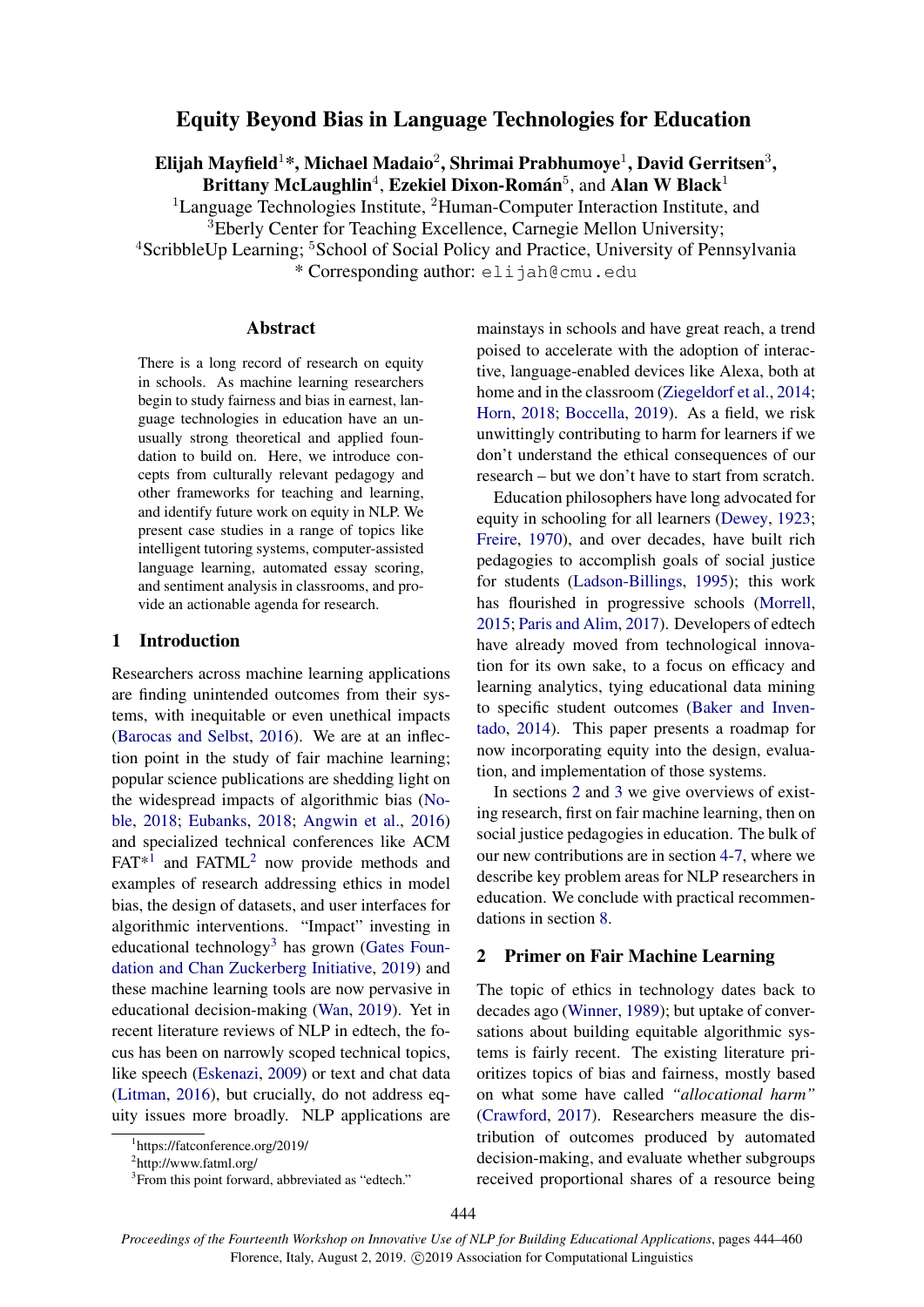# Equity Beyond Bias in Language Technologies for Education

Elijah Mayfield $^{1\ast}$ , Michael Madaio $^{2}$ , Shrimai Prabhumoye $^{1}$ , David Gerritsen $^{3},$ Brittany McLaughlin<sup>4</sup>, Ezekiel Dixon-Román<sup>5</sup>, and Alan W Black<sup>1</sup>

<sup>1</sup> Language Technologies Institute,  ${}^{2}$ Human-Computer Interaction Institute, and

<sup>3</sup>Eberly Center for Teaching Excellence, Carnegie Mellon University;

<sup>4</sup>ScribbleUp Learning; <sup>5</sup>School of Social Policy and Practice, University of Pennsylvania \* Corresponding author: elijah@cmu.edu

### Abstract

There is a long record of research on equity in schools. As machine learning researchers begin to study fairness and bias in earnest, language technologies in education have an unusually strong theoretical and applied foundation to build on. Here, we introduce concepts from culturally relevant pedagogy and other frameworks for teaching and learning, and identify future work on equity in NLP. We present case studies in a range of topics like intelligent tutoring systems, computer-assisted language learning, automated essay scoring, and sentiment analysis in classrooms, and provide an actionable agenda for research.

## 1 Introduction

Researchers across machine learning applications are finding unintended outcomes from their systems, with inequitable or even unethical impacts [\(Barocas and Selbst,](#page-9-0) [2016\)](#page-9-0). We are at an inflection point in the study of fair machine learning; popular science publications are shedding light on the widespread impacts of algorithmic bias [\(No](#page-14-0)[ble,](#page-14-0) [2018;](#page-14-0) [Eubanks,](#page-10-0) [2018;](#page-10-0) [Angwin et al.,](#page-8-0) [2016\)](#page-8-0) and specialized technical conferences like ACM  $FAT*1$  $FAT*1$  and  $FATML<sup>2</sup>$  $FATML<sup>2</sup>$  $FATML<sup>2</sup>$  now provide methods and examples of research addressing ethics in model bias, the design of datasets, and user interfaces for algorithmic interventions. "Impact" investing in educational technology<sup>[3](#page-0-2)</sup> has grown [\(Gates Foun](#page-11-0)[dation and Chan Zuckerberg Initiative,](#page-11-0) [2019\)](#page-11-0) and these machine learning tools are now pervasive in educational decision-making [\(Wan,](#page-15-0) [2019\)](#page-15-0). Yet in recent literature reviews of NLP in edtech, the focus has been on narrowly scoped technical topics, like speech [\(Eskenazi,](#page-10-1) [2009\)](#page-10-1) or text and chat data [\(Litman,](#page-13-0) [2016\)](#page-13-0), but crucially, do not address equity issues more broadly. NLP applications are mainstays in schools and have great reach, a trend poised to accelerate with the adoption of interactive, language-enabled devices like Alexa, both at home and in the classroom [\(Ziegeldorf et al.,](#page-16-0) [2014;](#page-16-0) [Horn,](#page-12-0) [2018;](#page-12-0) [Boccella,](#page-9-1) [2019\)](#page-9-1). As a field, we risk unwittingly contributing to harm for learners if we don't understand the ethical consequences of our research – but we don't have to start from scratch.

Education philosophers have long advocated for equity in schooling for all learners [\(Dewey,](#page-10-2) [1923;](#page-10-2) [Freire,](#page-11-1) [1970\)](#page-11-1), and over decades, have built rich pedagogies to accomplish goals of social justice for students [\(Ladson-Billings,](#page-13-1) [1995\)](#page-13-1); this work has flourished in progressive schools [\(Morrell,](#page-13-2) [2015;](#page-13-2) [Paris and Alim,](#page-14-1) [2017\)](#page-14-1). Developers of edtech have already moved from technological innovation for its own sake, to a focus on efficacy and learning analytics, tying educational data mining to specific student outcomes [\(Baker and Inven](#page-9-2)[tado,](#page-9-2) [2014\)](#page-9-2). This paper presents a roadmap for now incorporating equity into the design, evaluation, and implementation of those systems.

In sections [2](#page-0-3) and [3](#page-1-0) we give overviews of existing research, first on fair machine learning, then on social justice pedagogies in education. The bulk of our new contributions are in section [4-](#page-3-0)[7,](#page-5-0) where we describe key problem areas for NLP researchers in education. We conclude with practical recommendations in section [8.](#page-6-0)

#### <span id="page-0-3"></span>2 Primer on Fair Machine Learning

The topic of ethics in technology dates back to decades ago [\(Winner,](#page-16-1) [1989\)](#page-16-1); but uptake of conversations about building equitable algorithmic systems is fairly recent. The existing literature prioritizes topics of bias and fairness, mostly based on what some have called *"allocational harm"* [\(Crawford,](#page-10-3) [2017\)](#page-10-3). Researchers measure the distribution of outcomes produced by automated decision-making, and evaluate whether subgroups received proportional shares of a resource being

<span id="page-0-0"></span><sup>1</sup> https://fatconference.org/2019/

<span id="page-0-1"></span><sup>2</sup> http://www.fatml.org/

<span id="page-0-2"></span><sup>&</sup>lt;sup>3</sup> From this point forward, abbreviated as "edtech."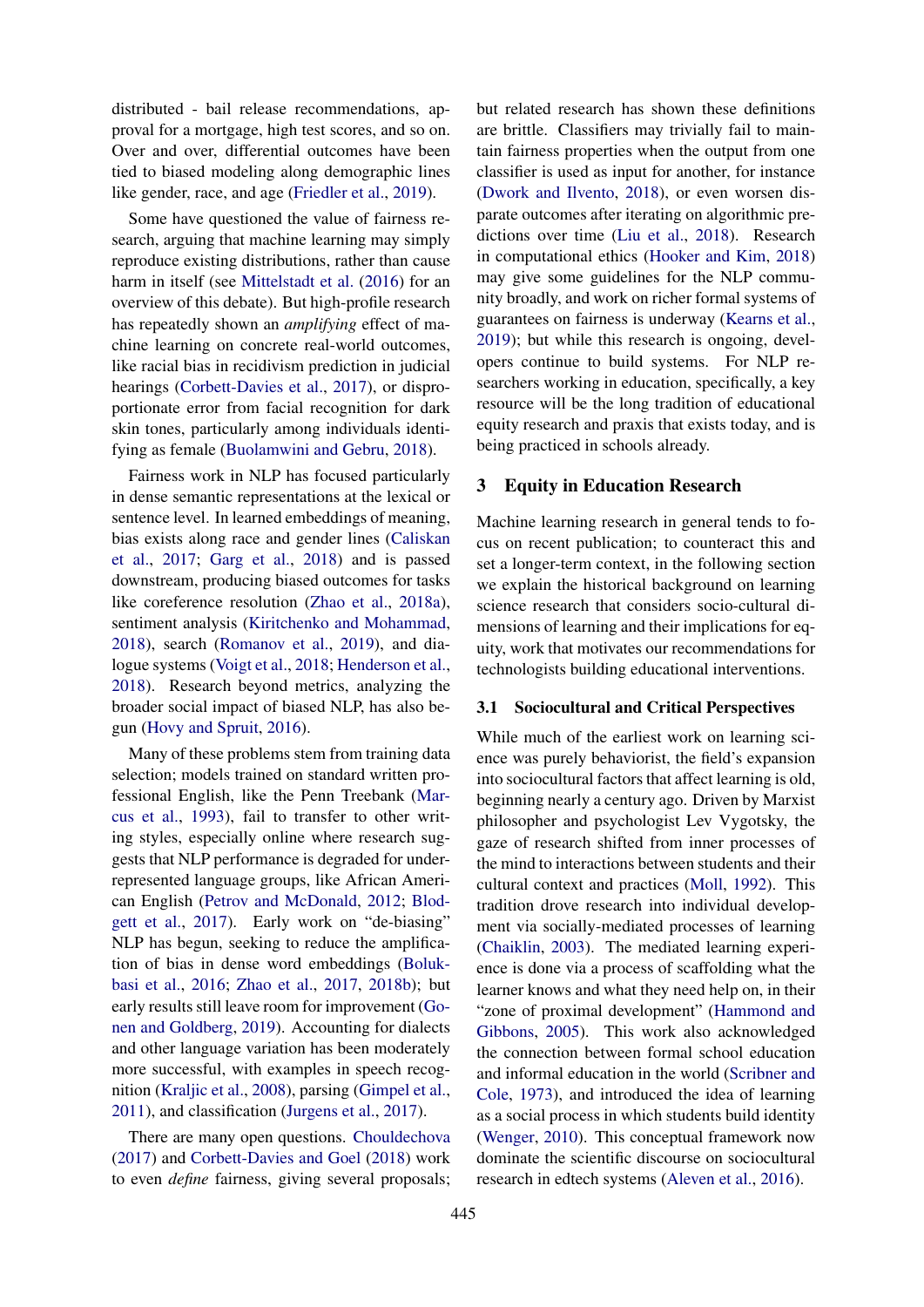distributed - bail release recommendations, approval for a mortgage, high test scores, and so on. Over and over, differential outcomes have been tied to biased modeling along demographic lines like gender, race, and age [\(Friedler et al.,](#page-11-2) [2019\)](#page-11-2).

Some have questioned the value of fairness research, arguing that machine learning may simply reproduce existing distributions, rather than cause harm in itself (see [Mittelstadt et al.](#page-13-3) [\(2016\)](#page-13-3) for an overview of this debate). But high-profile research has repeatedly shown an *amplifying* effect of machine learning on concrete real-world outcomes, like racial bias in recidivism prediction in judicial hearings [\(Corbett-Davies et al.,](#page-10-4) [2017\)](#page-10-4), or disproportionate error from facial recognition for dark skin tones, particularly among individuals identifying as female [\(Buolamwini and Gebru,](#page-9-3) [2018\)](#page-9-3).

Fairness work in NLP has focused particularly in dense semantic representations at the lexical or sentence level. In learned embeddings of meaning, bias exists along race and gender lines [\(Caliskan](#page-9-4) [et al.,](#page-9-4) [2017;](#page-9-4) [Garg et al.,](#page-11-3) [2018\)](#page-11-3) and is passed downstream, producing biased outcomes for tasks like coreference resolution [\(Zhao et al.,](#page-16-2) [2018a\)](#page-16-2), sentiment analysis [\(Kiritchenko and Mohammad,](#page-12-1) [2018\)](#page-12-1), search [\(Romanov et al.,](#page-14-2) [2019\)](#page-14-2), and dialogue systems [\(Voigt et al.,](#page-15-1) [2018;](#page-15-1) [Henderson et al.,](#page-12-2) [2018\)](#page-12-2). Research beyond metrics, analyzing the broader social impact of biased NLP, has also begun [\(Hovy and Spruit,](#page-12-3) [2016\)](#page-12-3).

Many of these problems stem from training data selection; models trained on standard written professional English, like the Penn Treebank [\(Mar](#page-13-4)[cus et al.,](#page-13-4) [1993\)](#page-13-4), fail to transfer to other writing styles, especially online where research suggests that NLP performance is degraded for underrepresented language groups, like African American English [\(Petrov and McDonald,](#page-14-3) [2012;](#page-14-3) [Blod](#page-9-5)[gett et al.,](#page-9-5) [2017\)](#page-9-5). Early work on "de-biasing" NLP has begun, seeking to reduce the amplification of bias in dense word embeddings [\(Boluk](#page-9-6)[basi et al.,](#page-9-6) [2016;](#page-9-6) [Zhao et al.,](#page-16-3) [2017,](#page-16-3) [2018b\)](#page-16-4); but early results still leave room for improvement [\(Go](#page-11-4)[nen and Goldberg,](#page-11-4) [2019\)](#page-11-4). Accounting for dialects and other language variation has been moderately more successful, with examples in speech recognition [\(Kraljic et al.,](#page-12-4) [2008\)](#page-12-4), parsing [\(Gimpel et al.,](#page-11-5) [2011\)](#page-11-5), and classification [\(Jurgens et al.,](#page-12-5) [2017\)](#page-12-5).

There are many open questions. [Chouldechova](#page-10-5) [\(2017\)](#page-10-5) and [Corbett-Davies and Goel](#page-10-6) [\(2018\)](#page-10-6) work to even *define* fairness, giving several proposals;

but related research has shown these definitions are brittle. Classifiers may trivially fail to maintain fairness properties when the output from one classifier is used as input for another, for instance [\(Dwork and Ilvento,](#page-10-7) [2018\)](#page-10-7), or even worsen disparate outcomes after iterating on algorithmic predictions over time [\(Liu et al.,](#page-13-5) [2018\)](#page-13-5). Research in computational ethics [\(Hooker and Kim,](#page-12-6) [2018\)](#page-12-6) may give some guidelines for the NLP community broadly, and work on richer formal systems of guarantees on fairness is underway [\(Kearns et al.,](#page-12-7) [2019\)](#page-12-7); but while this research is ongoing, developers continue to build systems. For NLP researchers working in education, specifically, a key resource will be the long tradition of educational equity research and praxis that exists today, and is being practiced in schools already.

### <span id="page-1-0"></span>3 Equity in Education Research

Machine learning research in general tends to focus on recent publication; to counteract this and set a longer-term context, in the following section we explain the historical background on learning science research that considers socio-cultural dimensions of learning and their implications for equity, work that motivates our recommendations for technologists building educational interventions.

#### 3.1 Sociocultural and Critical Perspectives

While much of the earliest work on learning science was purely behaviorist, the field's expansion into sociocultural factors that affect learning is old, beginning nearly a century ago. Driven by Marxist philosopher and psychologist Lev Vygotsky, the gaze of research shifted from inner processes of the mind to interactions between students and their cultural context and practices [\(Moll,](#page-13-6) [1992\)](#page-13-6). This tradition drove research into individual development via socially-mediated processes of learning [\(Chaiklin,](#page-9-7) [2003\)](#page-9-7). The mediated learning experience is done via a process of scaffolding what the learner knows and what they need help on, in their "zone of proximal development" [\(Hammond and](#page-11-6) [Gibbons,](#page-11-6) [2005\)](#page-11-6). This work also acknowledged the connection between formal school education and informal education in the world [\(Scribner and](#page-14-4) [Cole,](#page-14-4) [1973\)](#page-14-4), and introduced the idea of learning as a social process in which students build identity [\(Wenger,](#page-15-2) [2010\)](#page-15-2). This conceptual framework now dominate the scientific discourse on sociocultural research in edtech systems [\(Aleven et al.,](#page-8-1) [2016\)](#page-8-1).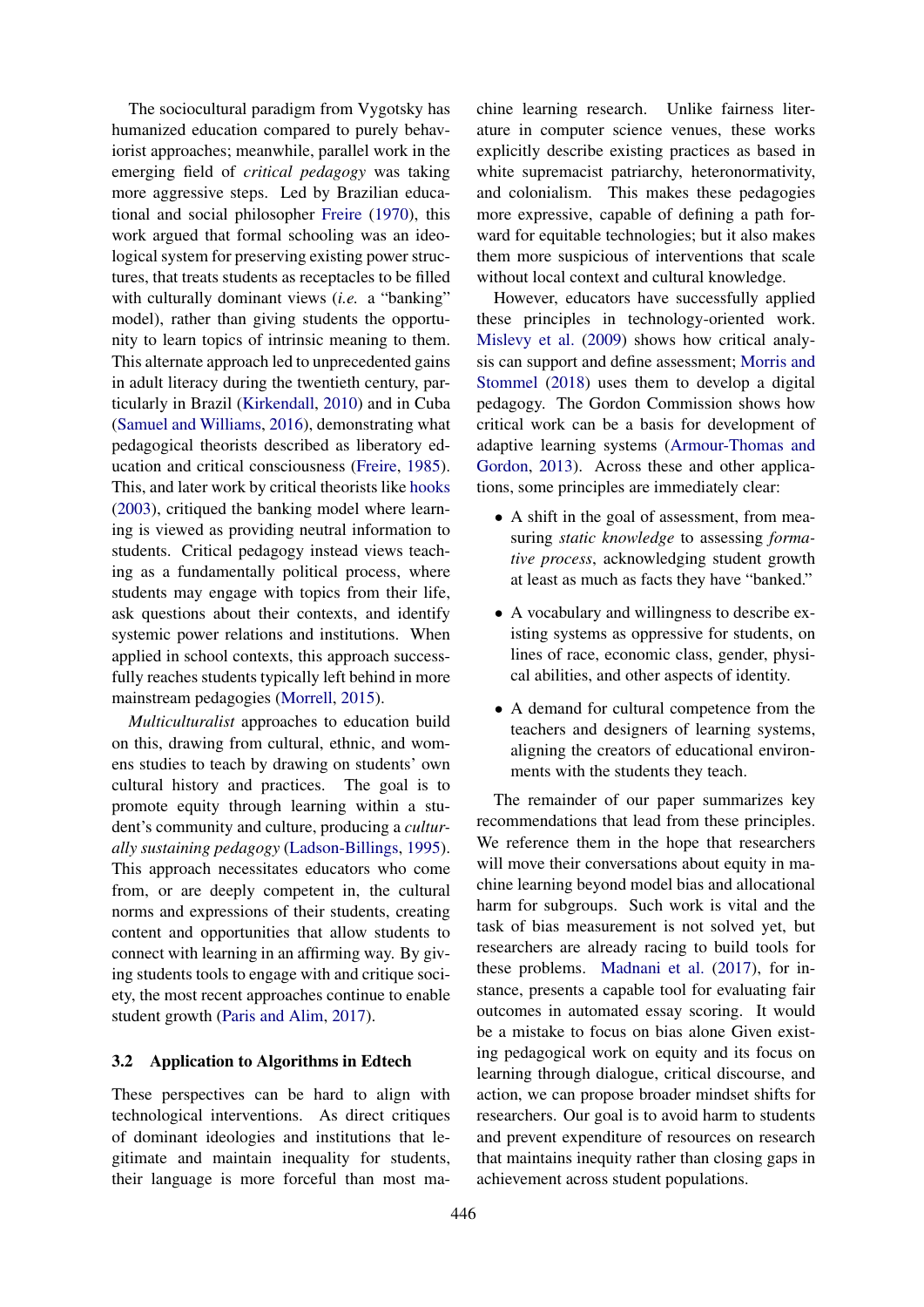The sociocultural paradigm from Vygotsky has humanized education compared to purely behaviorist approaches; meanwhile, parallel work in the emerging field of *critical pedagogy* was taking more aggressive steps. Led by Brazilian educational and social philosopher [Freire](#page-11-1) [\(1970\)](#page-11-1), this work argued that formal schooling was an ideological system for preserving existing power structures, that treats students as receptacles to be filled with culturally dominant views (*i.e.* a "banking" model), rather than giving students the opportunity to learn topics of intrinsic meaning to them. This alternate approach led to unprecedented gains in adult literacy during the twentieth century, particularly in Brazil [\(Kirkendall,](#page-12-8) [2010\)](#page-12-8) and in Cuba [\(Samuel and Williams,](#page-14-5) [2016\)](#page-14-5), demonstrating what pedagogical theorists described as liberatory education and critical consciousness [\(Freire,](#page-11-7) [1985\)](#page-11-7). This, and later work by critical theorists like [hooks](#page-12-9) [\(2003\)](#page-12-9), critiqued the banking model where learning is viewed as providing neutral information to students. Critical pedagogy instead views teaching as a fundamentally political process, where students may engage with topics from their life, ask questions about their contexts, and identify systemic power relations and institutions. When applied in school contexts, this approach successfully reaches students typically left behind in more mainstream pedagogies [\(Morrell,](#page-13-2) [2015\)](#page-13-2).

*Multiculturalist* approaches to education build on this, drawing from cultural, ethnic, and womens studies to teach by drawing on students' own cultural history and practices. The goal is to promote equity through learning within a student's community and culture, producing a *culturally sustaining pedagogy* [\(Ladson-Billings,](#page-13-1) [1995\)](#page-13-1). This approach necessitates educators who come from, or are deeply competent in, the cultural norms and expressions of their students, creating content and opportunities that allow students to connect with learning in an affirming way. By giving students tools to engage with and critique society, the most recent approaches continue to enable student growth [\(Paris and Alim,](#page-14-1) [2017\)](#page-14-1).

## 3.2 Application to Algorithms in Edtech

These perspectives can be hard to align with technological interventions. As direct critiques of dominant ideologies and institutions that legitimate and maintain inequality for students, their language is more forceful than most machine learning research. Unlike fairness literature in computer science venues, these works explicitly describe existing practices as based in white supremacist patriarchy, heteronormativity, and colonialism. This makes these pedagogies more expressive, capable of defining a path forward for equitable technologies; but it also makes them more suspicious of interventions that scale without local context and cultural knowledge.

However, educators have successfully applied these principles in technology-oriented work. [Mislevy et al.](#page-13-7) [\(2009\)](#page-13-7) shows how critical analysis can support and define assessment; [Morris and](#page-13-8) [Stommel](#page-13-8) [\(2018\)](#page-13-8) uses them to develop a digital pedagogy. The Gordon Commission shows how critical work can be a basis for development of adaptive learning systems [\(Armour-Thomas and](#page-8-2) [Gordon,](#page-8-2) [2013\)](#page-8-2). Across these and other applications, some principles are immediately clear:

- A shift in the goal of assessment, from measuring *static knowledge* to assessing *formative process*, acknowledging student growth at least as much as facts they have "banked."
- A vocabulary and willingness to describe existing systems as oppressive for students, on lines of race, economic class, gender, physical abilities, and other aspects of identity.
- A demand for cultural competence from the teachers and designers of learning systems, aligning the creators of educational environments with the students they teach.

The remainder of our paper summarizes key recommendations that lead from these principles. We reference them in the hope that researchers will move their conversations about equity in machine learning beyond model bias and allocational harm for subgroups. Such work is vital and the task of bias measurement is not solved yet, but researchers are already racing to build tools for these problems. [Madnani et al.](#page-13-9) [\(2017\)](#page-13-9), for instance, presents a capable tool for evaluating fair outcomes in automated essay scoring. It would be a mistake to focus on bias alone Given existing pedagogical work on equity and its focus on learning through dialogue, critical discourse, and action, we can propose broader mindset shifts for researchers. Our goal is to avoid harm to students and prevent expenditure of resources on research that maintains inequity rather than closing gaps in achievement across student populations.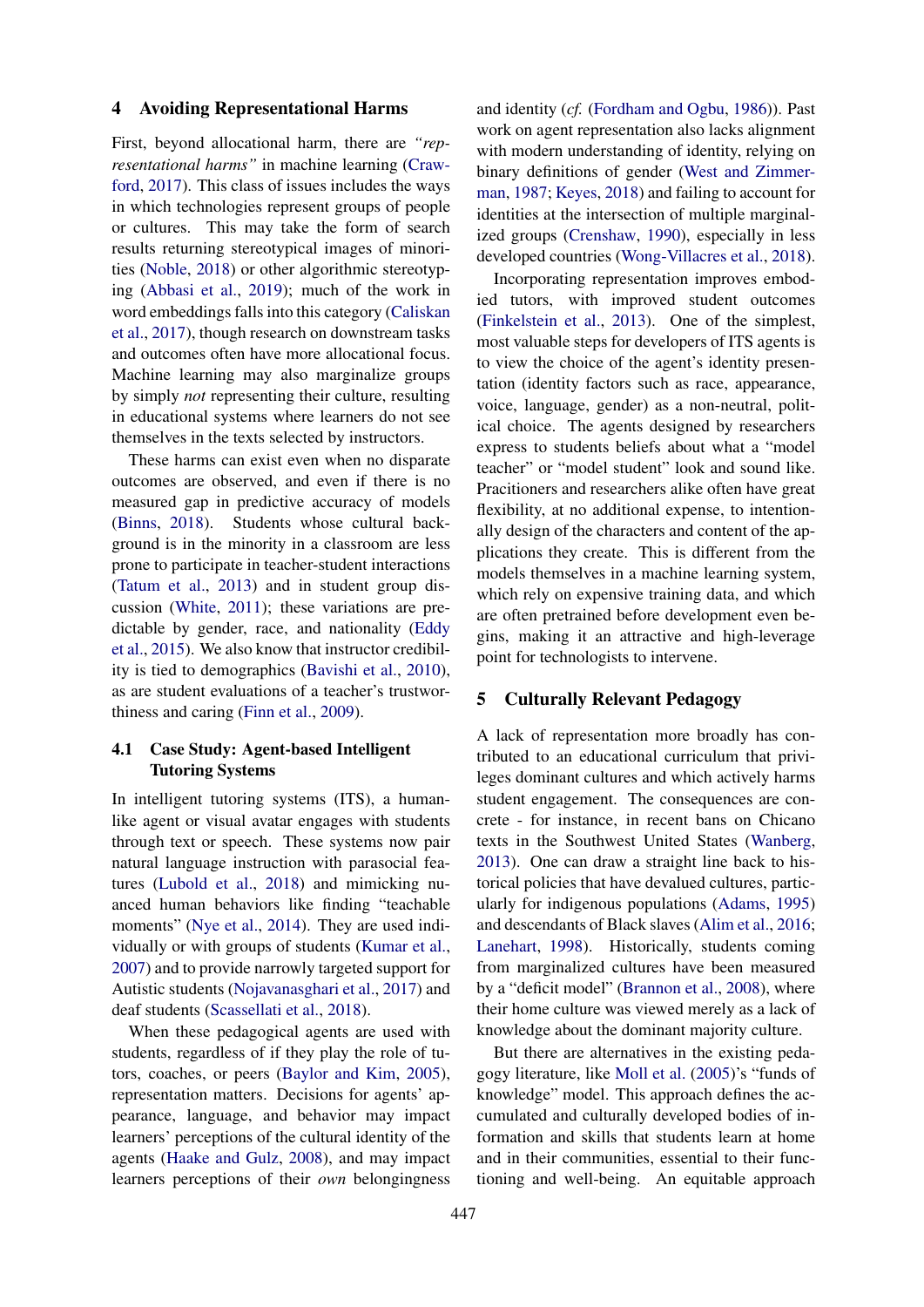#### <span id="page-3-0"></span>4 Avoiding Representational Harms

First, beyond allocational harm, there are *"representational harms"* in machine learning [\(Craw](#page-10-3)[ford,](#page-10-3) [2017\)](#page-10-3). This class of issues includes the ways in which technologies represent groups of people or cultures. This may take the form of search results returning stereotypical images of minorities [\(Noble,](#page-14-0) [2018\)](#page-14-0) or other algorithmic stereotyping [\(Abbasi et al.,](#page-8-3) [2019\)](#page-8-3); much of the work in word embeddings falls into this category [\(Caliskan](#page-9-4) [et al.,](#page-9-4) [2017\)](#page-9-4), though research on downstream tasks and outcomes often have more allocational focus. Machine learning may also marginalize groups by simply *not* representing their culture, resulting in educational systems where learners do not see themselves in the texts selected by instructors.

These harms can exist even when no disparate outcomes are observed, and even if there is no measured gap in predictive accuracy of models [\(Binns,](#page-9-8) [2018\)](#page-9-8). Students whose cultural background is in the minority in a classroom are less prone to participate in teacher-student interactions [\(Tatum et al.,](#page-15-3) [2013\)](#page-15-3) and in student group discussion [\(White,](#page-16-5) [2011\)](#page-16-5); these variations are predictable by gender, race, and nationality [\(Eddy](#page-10-8) [et al.,](#page-10-8) [2015\)](#page-10-8). We also know that instructor credibility is tied to demographics [\(Bavishi et al.,](#page-9-9) [2010\)](#page-9-9), as are student evaluations of a teacher's trustworthiness and caring [\(Finn et al.,](#page-11-8) [2009\)](#page-11-8).

## 4.1 Case Study: Agent-based Intelligent Tutoring Systems

In intelligent tutoring systems (ITS), a humanlike agent or visual avatar engages with students through text or speech. These systems now pair natural language instruction with parasocial features [\(Lubold et al.,](#page-13-10) [2018\)](#page-13-10) and mimicking nuanced human behaviors like finding "teachable moments" [\(Nye et al.,](#page-14-6) [2014\)](#page-14-6). They are used individually or with groups of students [\(Kumar et al.,](#page-13-11) [2007\)](#page-13-11) and to provide narrowly targeted support for Autistic students [\(Nojavanasghari et al.,](#page-14-7) [2017\)](#page-14-7) and deaf students [\(Scassellati et al.,](#page-14-8) [2018\)](#page-14-8).

When these pedagogical agents are used with students, regardless of if they play the role of tutors, coaches, or peers [\(Baylor and Kim,](#page-9-10) [2005\)](#page-9-10), representation matters. Decisions for agents' appearance, language, and behavior may impact learners' perceptions of the cultural identity of the agents [\(Haake and Gulz,](#page-11-9) [2008\)](#page-11-9), and may impact learners perceptions of their *own* belongingness

and identity (*cf.* [\(Fordham and Ogbu,](#page-11-10) [1986\)](#page-11-10)). Past work on agent representation also lacks alignment with modern understanding of identity, relying on binary definitions of gender [\(West and Zimmer](#page-15-4)[man,](#page-15-4) [1987;](#page-15-4) [Keyes,](#page-12-10) [2018\)](#page-12-10) and failing to account for identities at the intersection of multiple marginalized groups [\(Crenshaw,](#page-10-9) [1990\)](#page-10-9), especially in less developed countries [\(Wong-Villacres et al.,](#page-16-6) [2018\)](#page-16-6).

Incorporating representation improves embodied tutors, with improved student outcomes [\(Finkelstein et al.,](#page-11-11) [2013\)](#page-11-11). One of the simplest, most valuable steps for developers of ITS agents is to view the choice of the agent's identity presentation (identity factors such as race, appearance, voice, language, gender) as a non-neutral, political choice. The agents designed by researchers express to students beliefs about what a "model teacher" or "model student" look and sound like. Pracitioners and researchers alike often have great flexibility, at no additional expense, to intentionally design of the characters and content of the applications they create. This is different from the models themselves in a machine learning system, which rely on expensive training data, and which are often pretrained before development even begins, making it an attractive and high-leverage point for technologists to intervene.

## 5 Culturally Relevant Pedagogy

A lack of representation more broadly has contributed to an educational curriculum that privileges dominant cultures and which actively harms student engagement. The consequences are concrete - for instance, in recent bans on Chicano texts in the Southwest United States [\(Wanberg,](#page-15-5) [2013\)](#page-15-5). One can draw a straight line back to historical policies that have devalued cultures, particularly for indigenous populations [\(Adams,](#page-8-4) [1995\)](#page-8-4) and descendants of Black slaves [\(Alim et al.,](#page-8-5) [2016;](#page-8-5) [Lanehart,](#page-13-12) [1998\)](#page-13-12). Historically, students coming from marginalized cultures have been measured by a "deficit model" [\(Brannon et al.,](#page-9-11) [2008\)](#page-9-11), where their home culture was viewed merely as a lack of knowledge about the dominant majority culture.

But there are alternatives in the existing pedagogy literature, like [Moll et al.](#page-13-13) [\(2005\)](#page-13-13)'s "funds of knowledge" model. This approach defines the accumulated and culturally developed bodies of information and skills that students learn at home and in their communities, essential to their functioning and well-being. An equitable approach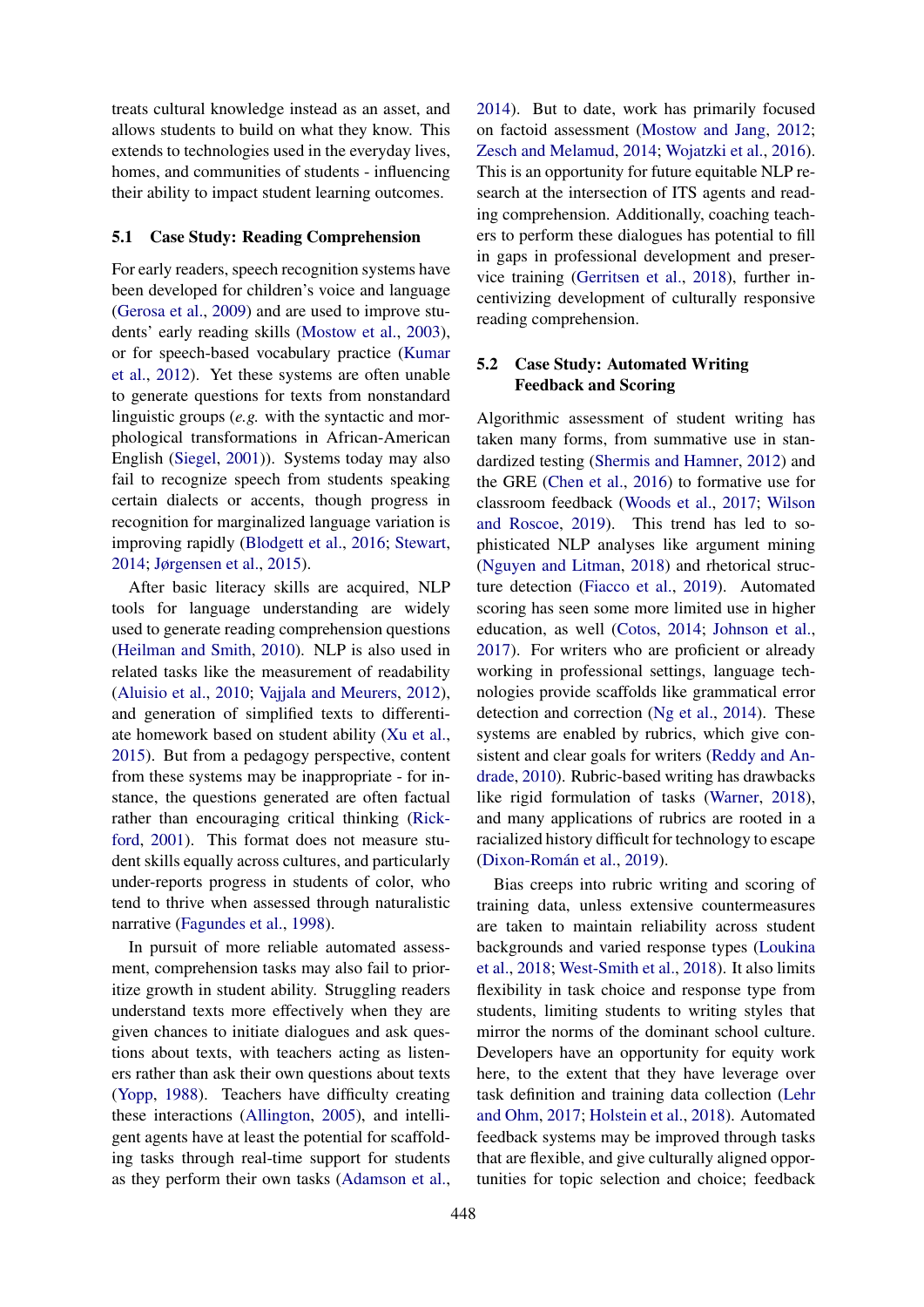treats cultural knowledge instead as an asset, and allows students to build on what they know. This extends to technologies used in the everyday lives, homes, and communities of students - influencing their ability to impact student learning outcomes.

#### 5.1 Case Study: Reading Comprehension

For early readers, speech recognition systems have been developed for children's voice and language [\(Gerosa et al.,](#page-11-12) [2009\)](#page-11-12) and are used to improve students' early reading skills [\(Mostow et al.,](#page-13-14) [2003\)](#page-13-14), or for speech-based vocabulary practice [\(Kumar](#page-13-15) [et al.,](#page-13-15) [2012\)](#page-13-15). Yet these systems are often unable to generate questions for texts from nonstandard linguistic groups (*e.g.* with the syntactic and morphological transformations in African-American English [\(Siegel,](#page-15-6) [2001\)](#page-15-6)). Systems today may also fail to recognize speech from students speaking certain dialects or accents, though progress in recognition for marginalized language variation is improving rapidly [\(Blodgett et al.,](#page-9-12) [2016;](#page-9-12) [Stewart,](#page-15-7) [2014;](#page-15-7) [Jørgensen et al.,](#page-12-11) [2015\)](#page-12-11).

After basic literacy skills are acquired, NLP tools for language understanding are widely used to generate reading comprehension questions [\(Heilman and Smith,](#page-12-12) [2010\)](#page-12-12). NLP is also used in related tasks like the measurement of readability [\(Aluisio et al.,](#page-8-6) [2010;](#page-8-6) [Vajjala and Meurers,](#page-15-8) [2012\)](#page-15-8), and generation of simplified texts to differentiate homework based on student ability [\(Xu et al.,](#page-16-7) [2015\)](#page-16-7). But from a pedagogy perspective, content from these systems may be inappropriate - for instance, the questions generated are often factual rather than encouraging critical thinking [\(Rick](#page-14-9)[ford,](#page-14-9) [2001\)](#page-14-9). This format does not measure student skills equally across cultures, and particularly under-reports progress in students of color, who tend to thrive when assessed through naturalistic narrative [\(Fagundes et al.,](#page-11-13) [1998\)](#page-11-13).

In pursuit of more reliable automated assessment, comprehension tasks may also fail to prioritize growth in student ability. Struggling readers understand texts more effectively when they are given chances to initiate dialogues and ask questions about texts, with teachers acting as listeners rather than ask their own questions about texts [\(Yopp,](#page-16-8) [1988\)](#page-16-8). Teachers have difficulty creating these interactions [\(Allington,](#page-8-7) [2005\)](#page-8-7), and intelligent agents have at least the potential for scaffolding tasks through real-time support for students as they perform their own tasks [\(Adamson et al.,](#page-8-8)

[2014\)](#page-8-8). But to date, work has primarily focused on factoid assessment [\(Mostow and Jang,](#page-14-10) [2012;](#page-14-10) [Zesch and Melamud,](#page-16-9) [2014;](#page-16-9) [Wojatzki et al.,](#page-16-10) [2016\)](#page-16-10). This is an opportunity for future equitable NLP research at the intersection of ITS agents and reading comprehension. Additionally, coaching teachers to perform these dialogues has potential to fill in gaps in professional development and preservice training [\(Gerritsen et al.,](#page-11-14) [2018\)](#page-11-14), further incentivizing development of culturally responsive reading comprehension.

## 5.2 Case Study: Automated Writing Feedback and Scoring

Algorithmic assessment of student writing has taken many forms, from summative use in standardized testing [\(Shermis and Hamner,](#page-15-9) [2012\)](#page-15-9) and the GRE [\(Chen et al.,](#page-9-13) [2016\)](#page-9-13) to formative use for classroom feedback [\(Woods et al.,](#page-16-11) [2017;](#page-16-11) [Wilson](#page-16-12) [and Roscoe,](#page-16-12) [2019\)](#page-16-12). This trend has led to sophisticated NLP analyses like argument mining [\(Nguyen and Litman,](#page-14-11) [2018\)](#page-14-11) and rhetorical structure detection [\(Fiacco et al.,](#page-11-15) [2019\)](#page-11-15). Automated scoring has seen some more limited use in higher education, as well [\(Cotos,](#page-10-10) [2014;](#page-10-10) [Johnson et al.,](#page-12-13) [2017\)](#page-12-13). For writers who are proficient or already working in professional settings, language technologies provide scaffolds like grammatical error detection and correction [\(Ng et al.,](#page-14-12) [2014\)](#page-14-12). These systems are enabled by rubrics, which give consistent and clear goals for writers [\(Reddy and An](#page-14-13)[drade,](#page-14-13) [2010\)](#page-14-13). Rubric-based writing has drawbacks like rigid formulation of tasks [\(Warner,](#page-15-10) [2018\)](#page-15-10), and many applications of rubrics are rooted in a racialized history difficult for technology to escape (Dixon-Román et al., [2019\)](#page-10-11).

Bias creeps into rubric writing and scoring of training data, unless extensive countermeasures are taken to maintain reliability across student backgrounds and varied response types [\(Loukina](#page-13-16) [et al.,](#page-13-16) [2018;](#page-13-16) [West-Smith et al.,](#page-15-11) [2018\)](#page-15-11). It also limits flexibility in task choice and response type from students, limiting students to writing styles that mirror the norms of the dominant school culture. Developers have an opportunity for equity work here, to the extent that they have leverage over task definition and training data collection [\(Lehr](#page-13-17) [and Ohm,](#page-13-17) [2017;](#page-13-17) [Holstein et al.,](#page-12-14) [2018\)](#page-12-14). Automated feedback systems may be improved through tasks that are flexible, and give culturally aligned opportunities for topic selection and choice; feedback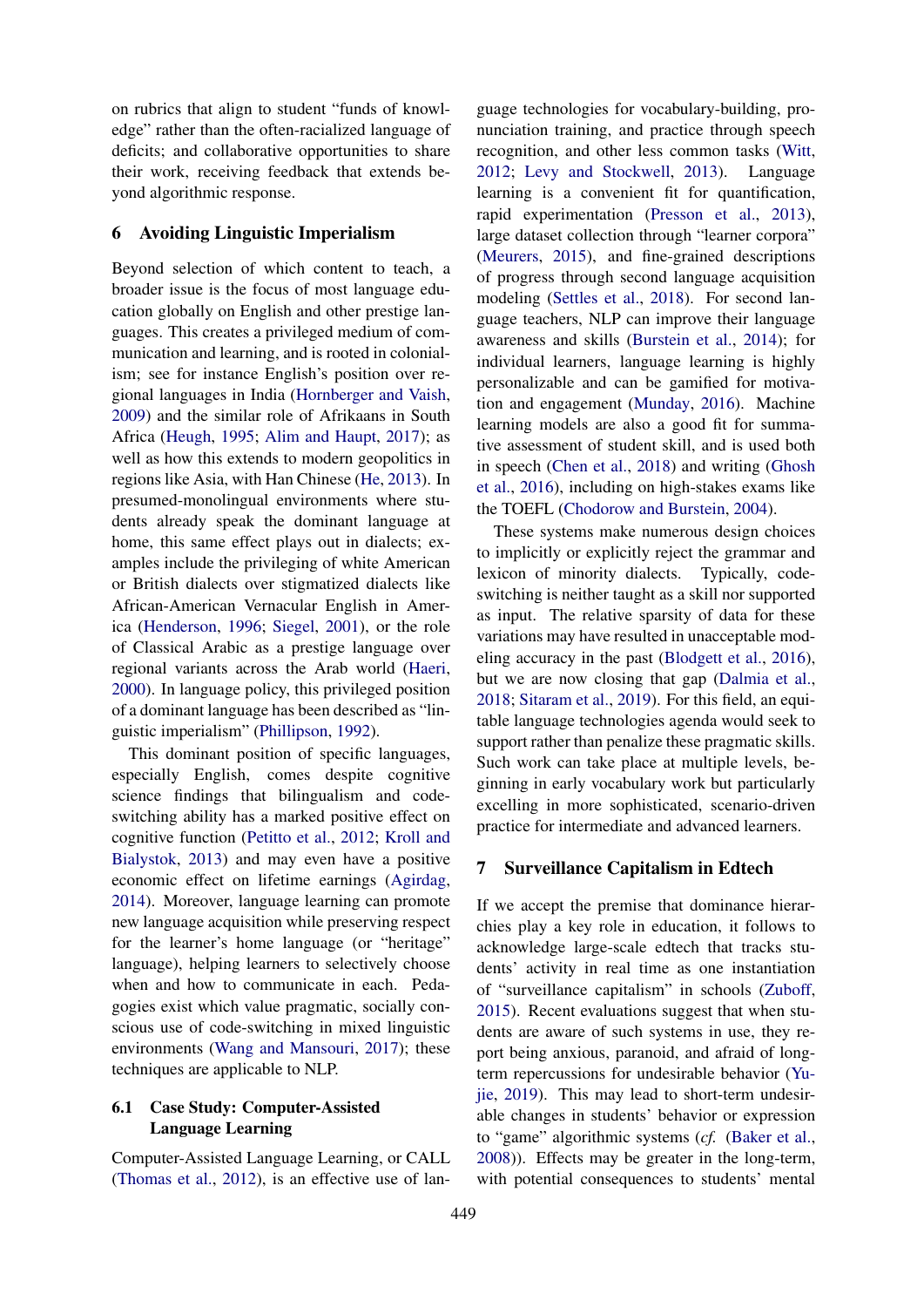on rubrics that align to student "funds of knowledge" rather than the often-racialized language of deficits; and collaborative opportunities to share their work, receiving feedback that extends beyond algorithmic response.

### 6 Avoiding Linguistic Imperialism

Beyond selection of which content to teach, a broader issue is the focus of most language education globally on English and other prestige languages. This creates a privileged medium of communication and learning, and is rooted in colonialism; see for instance English's position over regional languages in India [\(Hornberger and Vaish,](#page-12-15) [2009\)](#page-12-15) and the similar role of Afrikaans in South Africa [\(Heugh,](#page-12-16) [1995;](#page-12-16) [Alim and Haupt,](#page-8-9) [2017\)](#page-8-9); as well as how this extends to modern geopolitics in regions like Asia, with Han Chinese [\(He,](#page-12-17) [2013\)](#page-12-17). In presumed-monolingual environments where students already speak the dominant language at home, this same effect plays out in dialects; examples include the privileging of white American or British dialects over stigmatized dialects like African-American Vernacular English in America [\(Henderson,](#page-12-18) [1996;](#page-12-18) [Siegel,](#page-15-6) [2001\)](#page-15-6), or the role of Classical Arabic as a prestige language over regional variants across the Arab world [\(Haeri,](#page-11-16) [2000\)](#page-11-16). In language policy, this privileged position of a dominant language has been described as "linguistic imperialism" [\(Phillipson,](#page-14-14) [1992\)](#page-14-14).

This dominant position of specific languages, especially English, comes despite cognitive science findings that bilingualism and codeswitching ability has a marked positive effect on cognitive function [\(Petitto et al.,](#page-14-15) [2012;](#page-14-15) [Kroll and](#page-12-19) [Bialystok,](#page-12-19) [2013\)](#page-12-19) and may even have a positive economic effect on lifetime earnings [\(Agirdag,](#page-8-10) [2014\)](#page-8-10). Moreover, language learning can promote new language acquisition while preserving respect for the learner's home language (or "heritage" language), helping learners to selectively choose when and how to communicate in each. Pedagogies exist which value pragmatic, socially conscious use of code-switching in mixed linguistic environments [\(Wang and Mansouri,](#page-15-12) [2017\)](#page-15-12); these techniques are applicable to NLP.

## 6.1 Case Study: Computer-Assisted Language Learning

Computer-Assisted Language Learning, or CALL [\(Thomas et al.,](#page-15-13) [2012\)](#page-15-13), is an effective use of lan-

guage technologies for vocabulary-building, pronunciation training, and practice through speech recognition, and other less common tasks [\(Witt,](#page-16-13) [2012;](#page-16-13) [Levy and Stockwell,](#page-13-18) [2013\)](#page-13-18). Language learning is a convenient fit for quantification, rapid experimentation [\(Presson et al.,](#page-14-16) [2013\)](#page-14-16), large dataset collection through "learner corpora" [\(Meurers,](#page-13-19) [2015\)](#page-13-19), and fine-grained descriptions of progress through second language acquisition modeling [\(Settles et al.,](#page-14-17) [2018\)](#page-14-17). For second language teachers, NLP can improve their language awareness and skills [\(Burstein et al.,](#page-9-14) [2014\)](#page-9-14); for individual learners, language learning is highly personalizable and can be gamified for motivation and engagement [\(Munday,](#page-14-18) [2016\)](#page-14-18). Machine learning models are also a good fit for summative assessment of student skill, and is used both in speech [\(Chen et al.,](#page-9-15) [2018\)](#page-9-15) and writing [\(Ghosh](#page-11-17) [et al.,](#page-11-17) [2016\)](#page-11-17), including on high-stakes exams like the TOEFL [\(Chodorow and Burstein,](#page-10-12) [2004\)](#page-10-12).

These systems make numerous design choices to implicitly or explicitly reject the grammar and lexicon of minority dialects. Typically, codeswitching is neither taught as a skill nor supported as input. The relative sparsity of data for these variations may have resulted in unacceptable modeling accuracy in the past [\(Blodgett et al.,](#page-9-12) [2016\)](#page-9-12), but we are now closing that gap [\(Dalmia et al.,](#page-10-13) [2018;](#page-10-13) [Sitaram et al.,](#page-15-14) [2019\)](#page-15-14). For this field, an equitable language technologies agenda would seek to support rather than penalize these pragmatic skills. Such work can take place at multiple levels, beginning in early vocabulary work but particularly excelling in more sophisticated, scenario-driven practice for intermediate and advanced learners.

## <span id="page-5-0"></span>7 Surveillance Capitalism in Edtech

If we accept the premise that dominance hierarchies play a key role in education, it follows to acknowledge large-scale edtech that tracks students' activity in real time as one instantiation of "surveillance capitalism" in schools [\(Zuboff,](#page-16-14) [2015\)](#page-16-14). Recent evaluations suggest that when students are aware of such systems in use, they report being anxious, paranoid, and afraid of longterm repercussions for undesirable behavior [\(Yu](#page-16-15)[jie,](#page-16-15) [2019\)](#page-16-15). This may lead to short-term undesirable changes in students' behavior or expression to "game" algorithmic systems (*cf.* [\(Baker et al.,](#page-9-16) [2008\)](#page-9-16)). Effects may be greater in the long-term, with potential consequences to students' mental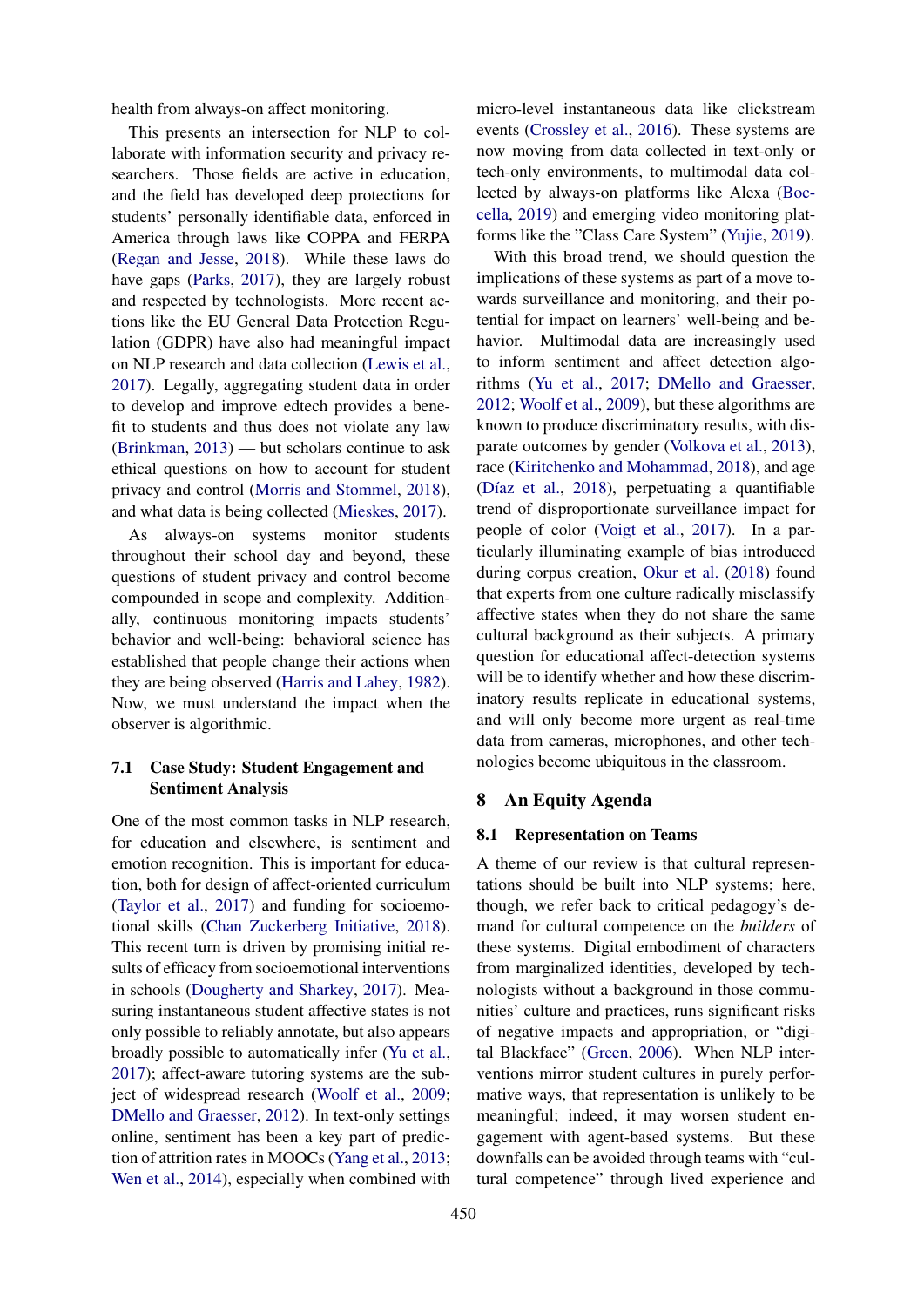health from always-on affect monitoring.

This presents an intersection for NLP to collaborate with information security and privacy researchers. Those fields are active in education, and the field has developed deep protections for students' personally identifiable data, enforced in America through laws like COPPA and FERPA [\(Regan and Jesse,](#page-14-19) [2018\)](#page-14-19). While these laws do have gaps [\(Parks,](#page-14-20) [2017\)](#page-14-20), they are largely robust and respected by technologists. More recent actions like the EU General Data Protection Regulation (GDPR) have also had meaningful impact on NLP research and data collection [\(Lewis et al.,](#page-13-20) [2017\)](#page-13-20). Legally, aggregating student data in order to develop and improve edtech provides a benefit to students and thus does not violate any law [\(Brinkman,](#page-9-17) [2013\)](#page-9-17) — but scholars continue to ask ethical questions on how to account for student privacy and control [\(Morris and Stommel,](#page-13-8) [2018\)](#page-13-8), and what data is being collected [\(Mieskes,](#page-13-21) [2017\)](#page-13-21).

As always-on systems monitor students throughout their school day and beyond, these questions of student privacy and control become compounded in scope and complexity. Additionally, continuous monitoring impacts students' behavior and well-being: behavioral science has established that people change their actions when they are being observed [\(Harris and Lahey,](#page-11-18) [1982\)](#page-11-18). Now, we must understand the impact when the observer is algorithmic.

## 7.1 Case Study: Student Engagement and Sentiment Analysis

One of the most common tasks in NLP research, for education and elsewhere, is sentiment and emotion recognition. This is important for education, both for design of affect-oriented curriculum [\(Taylor et al.,](#page-15-15) [2017\)](#page-15-15) and funding for socioemotional skills [\(Chan Zuckerberg Initiative,](#page-9-18) [2018\)](#page-9-18). This recent turn is driven by promising initial results of efficacy from socioemotional interventions in schools [\(Dougherty and Sharkey,](#page-10-14) [2017\)](#page-10-14). Measuring instantaneous student affective states is not only possible to reliably annotate, but also appears broadly possible to automatically infer [\(Yu et al.,](#page-16-16) [2017\)](#page-16-16); affect-aware tutoring systems are the subject of widespread research [\(Woolf et al.,](#page-16-17) [2009;](#page-16-17) [DMello and Graesser,](#page-10-15) [2012\)](#page-10-15). In text-only settings online, sentiment has been a key part of prediction of attrition rates in MOOCs [\(Yang et al.,](#page-16-18) [2013;](#page-16-18) [Wen et al.,](#page-15-16) [2014\)](#page-15-16), especially when combined with

micro-level instantaneous data like clickstream events [\(Crossley et al.,](#page-10-16) [2016\)](#page-10-16). These systems are now moving from data collected in text-only or tech-only environments, to multimodal data collected by always-on platforms like Alexa [\(Boc](#page-9-1)[cella,](#page-9-1) [2019\)](#page-9-1) and emerging video monitoring platforms like the "Class Care System" [\(Yujie,](#page-16-15) [2019\)](#page-16-15).

With this broad trend, we should question the implications of these systems as part of a move towards surveillance and monitoring, and their potential for impact on learners' well-being and behavior. Multimodal data are increasingly used to inform sentiment and affect detection algorithms [\(Yu et al.,](#page-16-16) [2017;](#page-16-16) [DMello and Graesser,](#page-10-15) [2012;](#page-10-15) [Woolf et al.,](#page-16-17) [2009\)](#page-16-17), but these algorithms are known to produce discriminatory results, with disparate outcomes by gender [\(Volkova et al.,](#page-15-17) [2013\)](#page-15-17), race [\(Kiritchenko and Mohammad,](#page-12-1) [2018\)](#page-12-1), and age (Díaz et al., [2018\)](#page-10-17), perpetuating a quantifiable trend of disproportionate surveillance impact for people of color [\(Voigt et al.,](#page-15-18) [2017\)](#page-15-18). In a particularly illuminating example of bias introduced during corpus creation, [Okur et al.](#page-14-21) [\(2018\)](#page-14-21) found that experts from one culture radically misclassify affective states when they do not share the same cultural background as their subjects. A primary question for educational affect-detection systems will be to identify whether and how these discriminatory results replicate in educational systems, and will only become more urgent as real-time data from cameras, microphones, and other technologies become ubiquitous in the classroom.

## <span id="page-6-0"></span>8 An Equity Agenda

### 8.1 Representation on Teams

A theme of our review is that cultural representations should be built into NLP systems; here, though, we refer back to critical pedagogy's demand for cultural competence on the *builders* of these systems. Digital embodiment of characters from marginalized identities, developed by technologists without a background in those communities' culture and practices, runs significant risks of negative impacts and appropriation, or "digital Blackface" [\(Green,](#page-11-19) [2006\)](#page-11-19). When NLP interventions mirror student cultures in purely performative ways, that representation is unlikely to be meaningful; indeed, it may worsen student engagement with agent-based systems. But these downfalls can be avoided through teams with "cultural competence" through lived experience and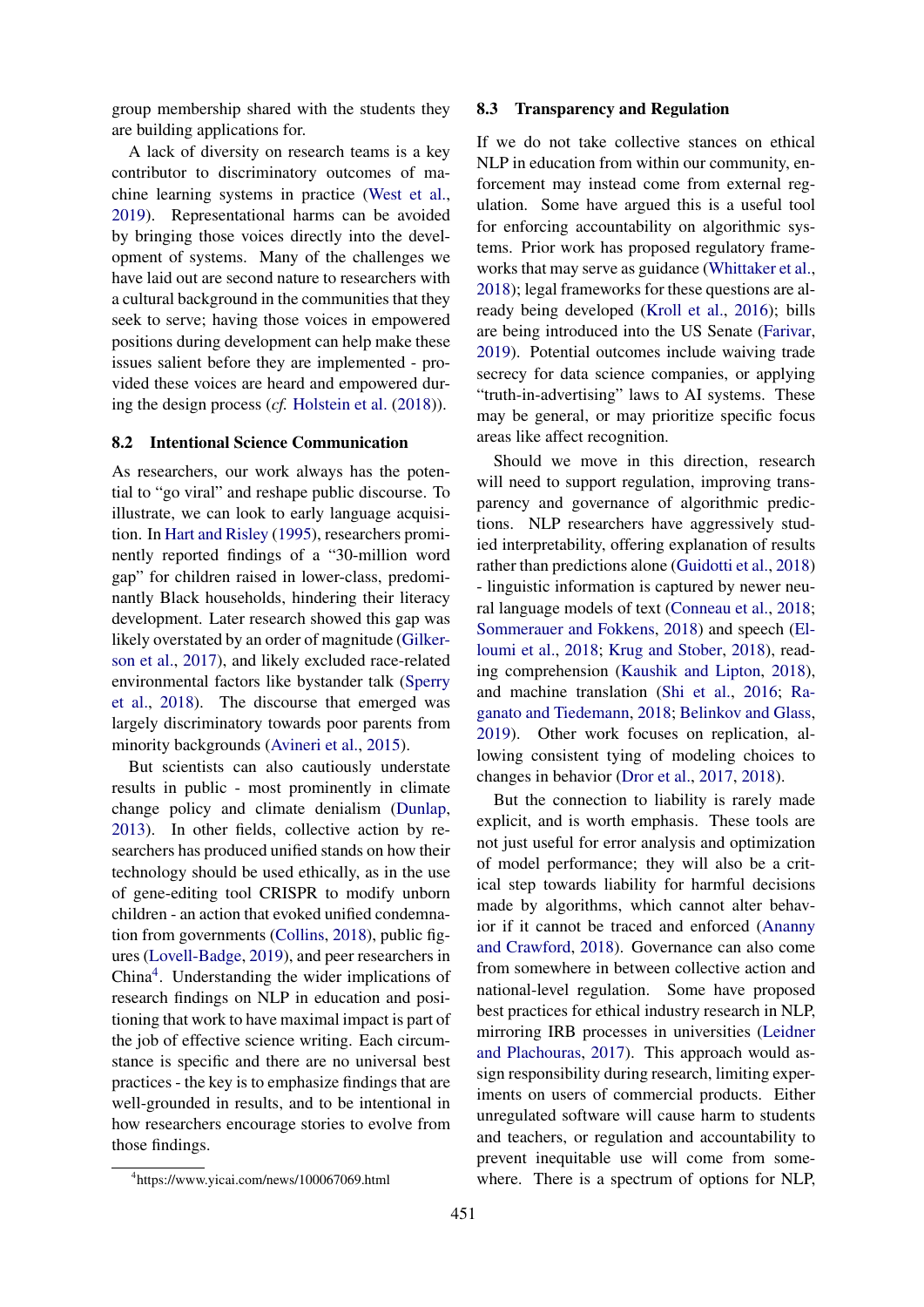group membership shared with the students they are building applications for.

A lack of diversity on research teams is a key contributor to discriminatory outcomes of machine learning systems in practice [\(West et al.,](#page-15-19) [2019\)](#page-15-19). Representational harms can be avoided by bringing those voices directly into the development of systems. Many of the challenges we have laid out are second nature to researchers with a cultural background in the communities that they seek to serve; having those voices in empowered positions during development can help make these issues salient before they are implemented - provided these voices are heard and empowered during the design process (*cf.* [Holstein et al.](#page-12-14) [\(2018\)](#page-12-14)).

#### 8.2 Intentional Science Communication

As researchers, our work always has the potential to "go viral" and reshape public discourse. To illustrate, we can look to early language acquisition. In [Hart and Risley](#page-12-20) [\(1995\)](#page-12-20), researchers prominently reported findings of a "30-million word gap" for children raised in lower-class, predominantly Black households, hindering their literacy development. Later research showed this gap was likely overstated by an order of magnitude [\(Gilker](#page-11-20)[son et al.,](#page-11-20) [2017\)](#page-11-20), and likely excluded race-related environmental factors like bystander talk [\(Sperry](#page-15-20) [et al.,](#page-15-20) [2018\)](#page-15-20). The discourse that emerged was largely discriminatory towards poor parents from minority backgrounds [\(Avineri et al.,](#page-9-19) [2015\)](#page-9-19).

But scientists can also cautiously understate results in public - most prominently in climate change policy and climate denialism [\(Dunlap,](#page-10-18) [2013\)](#page-10-18). In other fields, collective action by researchers has produced unified stands on how their technology should be used ethically, as in the use of gene-editing tool CRISPR to modify unborn children - an action that evoked unified condemnation from governments [\(Collins,](#page-10-19) [2018\)](#page-10-19), public figures [\(Lovell-Badge,](#page-13-22) [2019\)](#page-13-22), and peer researchers in China<sup>[4](#page-7-0)</sup>. Understanding the wider implications of research findings on NLP in education and positioning that work to have maximal impact is part of the job of effective science writing. Each circumstance is specific and there are no universal best practices - the key is to emphasize findings that are well-grounded in results, and to be intentional in how researchers encourage stories to evolve from those findings.

#### 8.3 Transparency and Regulation

If we do not take collective stances on ethical NLP in education from within our community, enforcement may instead come from external regulation. Some have argued this is a useful tool for enforcing accountability on algorithmic systems. Prior work has proposed regulatory frameworks that may serve as guidance [\(Whittaker et al.,](#page-16-19) [2018\)](#page-16-19); legal frameworks for these questions are already being developed [\(Kroll et al.,](#page-12-21) [2016\)](#page-12-21); bills are being introduced into the US Senate [\(Farivar,](#page-11-21) [2019\)](#page-11-21). Potential outcomes include waiving trade secrecy for data science companies, or applying "truth-in-advertising" laws to AI systems. These may be general, or may prioritize specific focus areas like affect recognition.

Should we move in this direction, research will need to support regulation, improving transparency and governance of algorithmic predictions. NLP researchers have aggressively studied interpretability, offering explanation of results rather than predictions alone [\(Guidotti et al.,](#page-11-22) [2018\)](#page-11-22) - linguistic information is captured by newer neural language models of text [\(Conneau et al.,](#page-10-20) [2018;](#page-10-20) [Sommerauer and Fokkens,](#page-15-21) [2018\)](#page-15-21) and speech [\(El](#page-10-21)[loumi et al.,](#page-10-21) [2018;](#page-10-21) [Krug and Stober,](#page-12-22) [2018\)](#page-12-22), reading comprehension [\(Kaushik and Lipton,](#page-12-23) [2018\)](#page-12-23), and machine translation [\(Shi et al.,](#page-15-22) [2016;](#page-15-22) [Ra](#page-14-22)[ganato and Tiedemann,](#page-14-22) [2018;](#page-14-22) [Belinkov and Glass,](#page-9-20) [2019\)](#page-9-20). Other work focuses on replication, allowing consistent tying of modeling choices to changes in behavior [\(Dror et al.,](#page-10-22) [2017,](#page-10-22) [2018\)](#page-10-23).

But the connection to liability is rarely made explicit, and is worth emphasis. These tools are not just useful for error analysis and optimization of model performance; they will also be a critical step towards liability for harmful decisions made by algorithms, which cannot alter behavior if it cannot be traced and enforced [\(Ananny](#page-8-11) [and Crawford,](#page-8-11) [2018\)](#page-8-11). Governance can also come from somewhere in between collective action and national-level regulation. Some have proposed best practices for ethical industry research in NLP, mirroring IRB processes in universities [\(Leidner](#page-13-23) [and Plachouras,](#page-13-23) [2017\)](#page-13-23). This approach would assign responsibility during research, limiting experiments on users of commercial products. Either unregulated software will cause harm to students and teachers, or regulation and accountability to prevent inequitable use will come from somewhere. There is a spectrum of options for NLP,

<span id="page-7-0"></span><sup>4</sup> https://www.yicai.com/news/100067069.html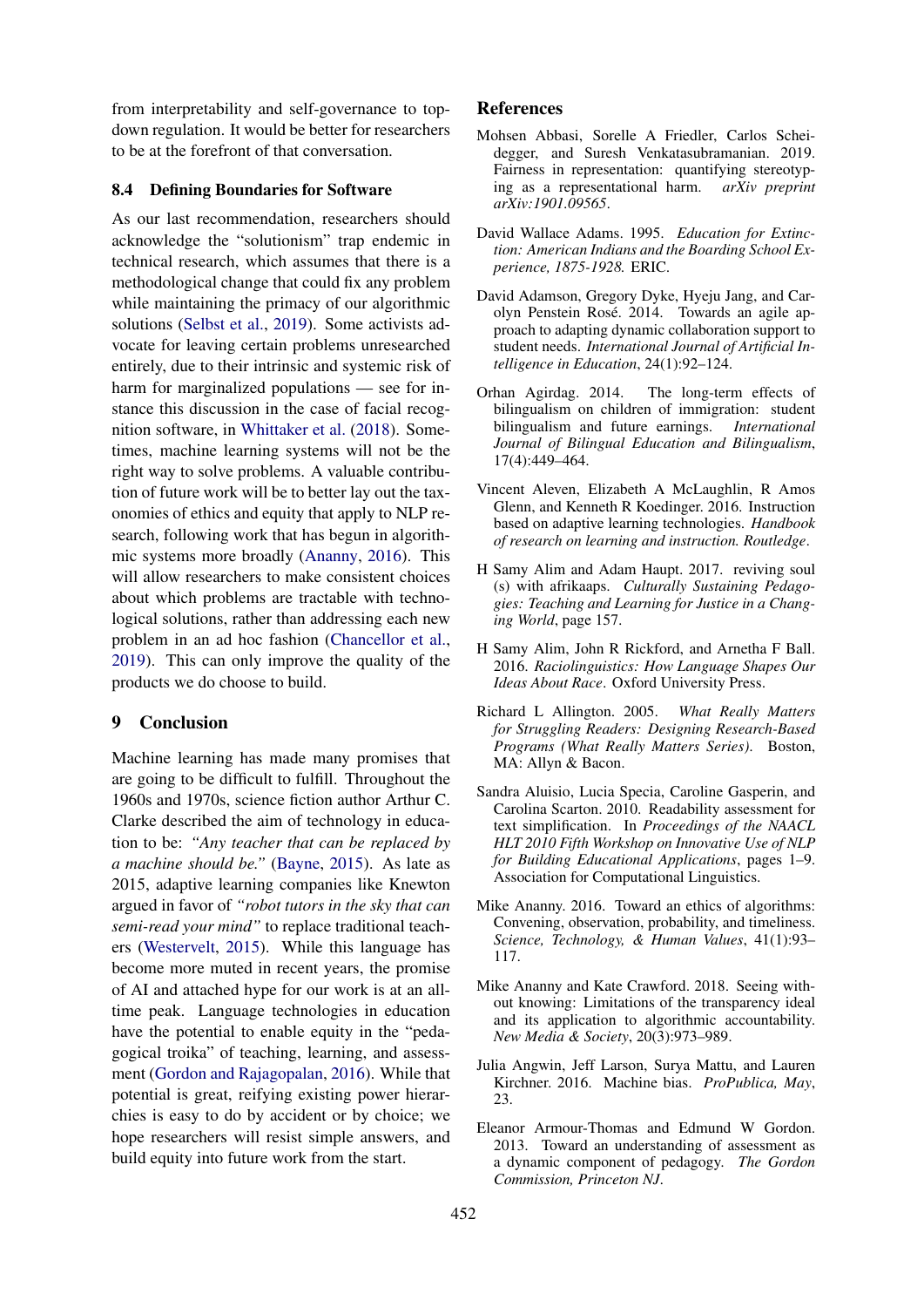from interpretability and self-governance to topdown regulation. It would be better for researchers to be at the forefront of that conversation.

#### 8.4 Defining Boundaries for Software

As our last recommendation, researchers should acknowledge the "solutionism" trap endemic in technical research, which assumes that there is a methodological change that could fix any problem while maintaining the primacy of our algorithmic solutions [\(Selbst et al.,](#page-14-23) [2019\)](#page-14-23). Some activists advocate for leaving certain problems unresearched entirely, due to their intrinsic and systemic risk of harm for marginalized populations — see for instance this discussion in the case of facial recognition software, in [Whittaker et al.](#page-16-19) [\(2018\)](#page-16-19). Sometimes, machine learning systems will not be the right way to solve problems. A valuable contribution of future work will be to better lay out the taxonomies of ethics and equity that apply to NLP research, following work that has begun in algorithmic systems more broadly [\(Ananny,](#page-8-12) [2016\)](#page-8-12). This will allow researchers to make consistent choices about which problems are tractable with technological solutions, rather than addressing each new problem in an ad hoc fashion [\(Chancellor et al.,](#page-9-21) [2019\)](#page-9-21). This can only improve the quality of the products we do choose to build.

#### 9 Conclusion

Machine learning has made many promises that are going to be difficult to fulfill. Throughout the 1960s and 1970s, science fiction author Arthur C. Clarke described the aim of technology in education to be: *"Any teacher that can be replaced by a machine should be."* [\(Bayne,](#page-9-22) [2015\)](#page-9-22). As late as 2015, adaptive learning companies like Knewton argued in favor of *"robot tutors in the sky that can semi-read your mind"* to replace traditional teachers [\(Westervelt,](#page-15-23) [2015\)](#page-15-23). While this language has become more muted in recent years, the promise of AI and attached hype for our work is at an alltime peak. Language technologies in education have the potential to enable equity in the "pedagogical troika" of teaching, learning, and assessment [\(Gordon and Rajagopalan,](#page-11-23) [2016\)](#page-11-23). While that potential is great, reifying existing power hierarchies is easy to do by accident or by choice; we hope researchers will resist simple answers, and build equity into future work from the start.

### References

- <span id="page-8-3"></span>Mohsen Abbasi, Sorelle A Friedler, Carlos Scheidegger, and Suresh Venkatasubramanian. 2019. Fairness in representation: quantifying stereotyping as a representational harm. *arXiv preprint arXiv:1901.09565*.
- <span id="page-8-4"></span>David Wallace Adams. 1995. *Education for Extinction: American Indians and the Boarding School Experience, 1875-1928.* ERIC.
- <span id="page-8-8"></span>David Adamson, Gregory Dyke, Hyeju Jang, and Carolyn Penstein Rosé. 2014. Towards an agile approach to adapting dynamic collaboration support to student needs. *International Journal of Artificial Intelligence in Education*, 24(1):92–124.
- <span id="page-8-10"></span>Orhan Agirdag. 2014. The long-term effects of bilingualism on children of immigration: student bilingualism and future earnings. *International Journal of Bilingual Education and Bilingualism*, 17(4):449–464.
- <span id="page-8-1"></span>Vincent Aleven, Elizabeth A McLaughlin, R Amos Glenn, and Kenneth R Koedinger. 2016. Instruction based on adaptive learning technologies. *Handbook of research on learning and instruction. Routledge*.
- <span id="page-8-9"></span>H Samy Alim and Adam Haupt. 2017. reviving soul (s) with afrikaaps. *Culturally Sustaining Pedagogies: Teaching and Learning for Justice in a Changing World*, page 157.
- <span id="page-8-5"></span>H Samy Alim, John R Rickford, and Arnetha F Ball. 2016. *Raciolinguistics: How Language Shapes Our Ideas About Race*. Oxford University Press.
- <span id="page-8-7"></span>Richard L Allington. 2005. *What Really Matters for Struggling Readers: Designing Research-Based Programs (What Really Matters Series)*. Boston, MA: Allyn & Bacon.
- <span id="page-8-6"></span>Sandra Aluisio, Lucia Specia, Caroline Gasperin, and Carolina Scarton. 2010. Readability assessment for text simplification. In *Proceedings of the NAACL HLT 2010 Fifth Workshop on Innovative Use of NLP for Building Educational Applications*, pages 1–9. Association for Computational Linguistics.
- <span id="page-8-12"></span>Mike Ananny. 2016. Toward an ethics of algorithms: Convening, observation, probability, and timeliness. *Science, Technology, & Human Values*, 41(1):93– 117.
- <span id="page-8-11"></span>Mike Ananny and Kate Crawford. 2018. Seeing without knowing: Limitations of the transparency ideal and its application to algorithmic accountability. *New Media & Society*, 20(3):973–989.
- <span id="page-8-0"></span>Julia Angwin, Jeff Larson, Surya Mattu, and Lauren Kirchner. 2016. Machine bias. *ProPublica, May*, 23.
- <span id="page-8-2"></span>Eleanor Armour-Thomas and Edmund W Gordon. 2013. Toward an understanding of assessment as a dynamic component of pedagogy. *The Gordon Commission, Princeton NJ*.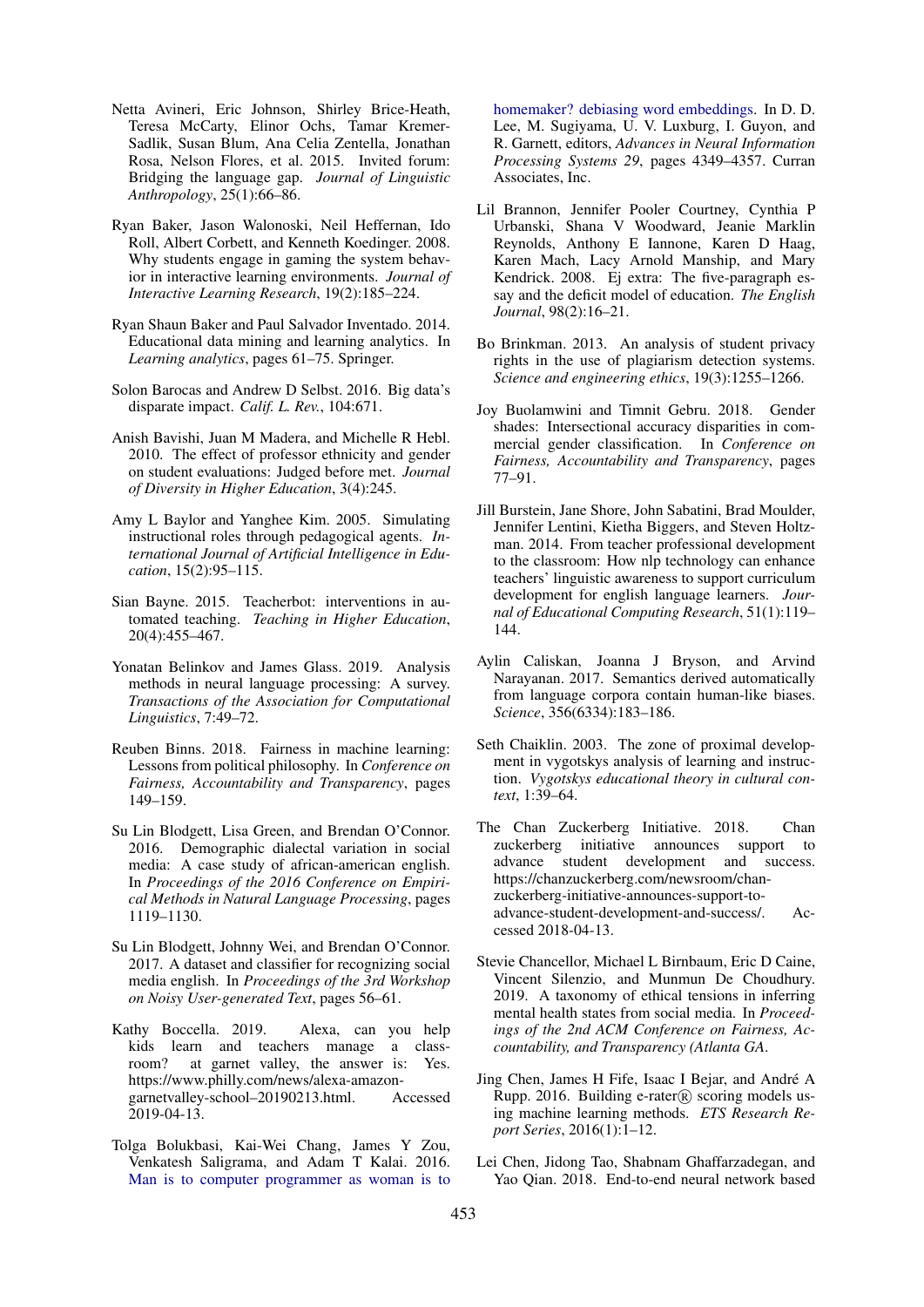- <span id="page-9-19"></span>Netta Avineri, Eric Johnson, Shirley Brice-Heath, Teresa McCarty, Elinor Ochs, Tamar Kremer-Sadlik, Susan Blum, Ana Celia Zentella, Jonathan Rosa, Nelson Flores, et al. 2015. Invited forum: Bridging the language gap. *Journal of Linguistic Anthropology*, 25(1):66–86.
- <span id="page-9-16"></span>Ryan Baker, Jason Walonoski, Neil Heffernan, Ido Roll, Albert Corbett, and Kenneth Koedinger. 2008. Why students engage in gaming the system behavior in interactive learning environments. *Journal of Interactive Learning Research*, 19(2):185–224.
- <span id="page-9-2"></span>Ryan Shaun Baker and Paul Salvador Inventado. 2014. Educational data mining and learning analytics. In *Learning analytics*, pages 61–75. Springer.
- <span id="page-9-0"></span>Solon Barocas and Andrew D Selbst. 2016. Big data's disparate impact. *Calif. L. Rev.*, 104:671.
- <span id="page-9-9"></span>Anish Bavishi, Juan M Madera, and Michelle R Hebl. 2010. The effect of professor ethnicity and gender on student evaluations: Judged before met. *Journal of Diversity in Higher Education*, 3(4):245.
- <span id="page-9-10"></span>Amy L Baylor and Yanghee Kim. 2005. Simulating instructional roles through pedagogical agents. *International Journal of Artificial Intelligence in Education*, 15(2):95–115.
- <span id="page-9-22"></span>Sian Bayne. 2015. Teacherbot: interventions in automated teaching. *Teaching in Higher Education*, 20(4):455–467.
- <span id="page-9-20"></span>Yonatan Belinkov and James Glass. 2019. Analysis methods in neural language processing: A survey. *Transactions of the Association for Computational Linguistics*, 7:49–72.
- <span id="page-9-8"></span>Reuben Binns. 2018. Fairness in machine learning: Lessons from political philosophy. In *Conference on Fairness, Accountability and Transparency*, pages 149–159.
- <span id="page-9-12"></span>Su Lin Blodgett, Lisa Green, and Brendan O'Connor. 2016. Demographic dialectal variation in social media: A case study of african-american english. In *Proceedings of the 2016 Conference on Empirical Methods in Natural Language Processing*, pages 1119–1130.
- <span id="page-9-5"></span>Su Lin Blodgett, Johnny Wei, and Brendan O'Connor. 2017. A dataset and classifier for recognizing social media english. In *Proceedings of the 3rd Workshop on Noisy User-generated Text*, pages 56–61.
- <span id="page-9-1"></span>Kathy Boccella. 2019. Alexa, can you help kids learn and teachers manage a classroom? at garnet valley, the answer is: Yes. https://www.philly.com/news/alexa-amazongarnetvalley-school–20190213.html. Accessed 2019-04-13.
- <span id="page-9-6"></span>Tolga Bolukbasi, Kai-Wei Chang, James Y Zou, Venkatesh Saligrama, and Adam T Kalai. 2016. [Man is to computer programmer as woman is to](http://papers.nips.cc/paper/6228-man-is-to-computer-programmer-as-woman-is-to-homemaker-debiasing-word-embeddings.pdf)

[homemaker? debiasing word embeddings.](http://papers.nips.cc/paper/6228-man-is-to-computer-programmer-as-woman-is-to-homemaker-debiasing-word-embeddings.pdf) In D. D. Lee, M. Sugiyama, U. V. Luxburg, I. Guyon, and R. Garnett, editors, *Advances in Neural Information Processing Systems 29*, pages 4349–4357. Curran Associates, Inc.

- <span id="page-9-11"></span>Lil Brannon, Jennifer Pooler Courtney, Cynthia P Urbanski, Shana V Woodward, Jeanie Marklin Reynolds, Anthony E Iannone, Karen D Haag, Karen Mach, Lacy Arnold Manship, and Mary Kendrick. 2008. Ej extra: The five-paragraph essay and the deficit model of education. *The English Journal*, 98(2):16–21.
- <span id="page-9-17"></span>Bo Brinkman. 2013. An analysis of student privacy rights in the use of plagiarism detection systems. *Science and engineering ethics*, 19(3):1255–1266.
- <span id="page-9-3"></span>Joy Buolamwini and Timnit Gebru. 2018. Gender shades: Intersectional accuracy disparities in commercial gender classification. In *Conference on Fairness, Accountability and Transparency*, pages 77–91.
- <span id="page-9-14"></span>Jill Burstein, Jane Shore, John Sabatini, Brad Moulder, Jennifer Lentini, Kietha Biggers, and Steven Holtzman. 2014. From teacher professional development to the classroom: How nlp technology can enhance teachers' linguistic awareness to support curriculum development for english language learners. *Journal of Educational Computing Research*, 51(1):119– 144.
- <span id="page-9-4"></span>Aylin Caliskan, Joanna J Bryson, and Arvind Narayanan. 2017. Semantics derived automatically from language corpora contain human-like biases. *Science*, 356(6334):183–186.
- <span id="page-9-7"></span>Seth Chaiklin. 2003. The zone of proximal development in vygotskys analysis of learning and instruction. *Vygotskys educational theory in cultural context*, 1:39–64.
- <span id="page-9-18"></span>The Chan Zuckerberg Initiative. 2018. Chan zuckerberg initiative announces support to advance student development and success. https://chanzuckerberg.com/newsroom/chanzuckerberg-initiative-announces-support-toadvance-student-development-and-success/. Accessed 2018-04-13.
- <span id="page-9-21"></span>Stevie Chancellor, Michael L Birnbaum, Eric D Caine, Vincent Silenzio, and Munmun De Choudhury. 2019. A taxonomy of ethical tensions in inferring mental health states from social media. In *Proceedings of the 2nd ACM Conference on Fairness, Accountability, and Transparency (Atlanta GA*.
- <span id="page-9-13"></span>Jing Chen, James H Fife, Isaac I Bejar, and Andre A´ Rupp. 2016. Building e-rater $(\overline{R})$  scoring models using machine learning methods. *ETS Research Report Series*, 2016(1):1–12.
- <span id="page-9-15"></span>Lei Chen, Jidong Tao, Shabnam Ghaffarzadegan, and Yao Qian. 2018. End-to-end neural network based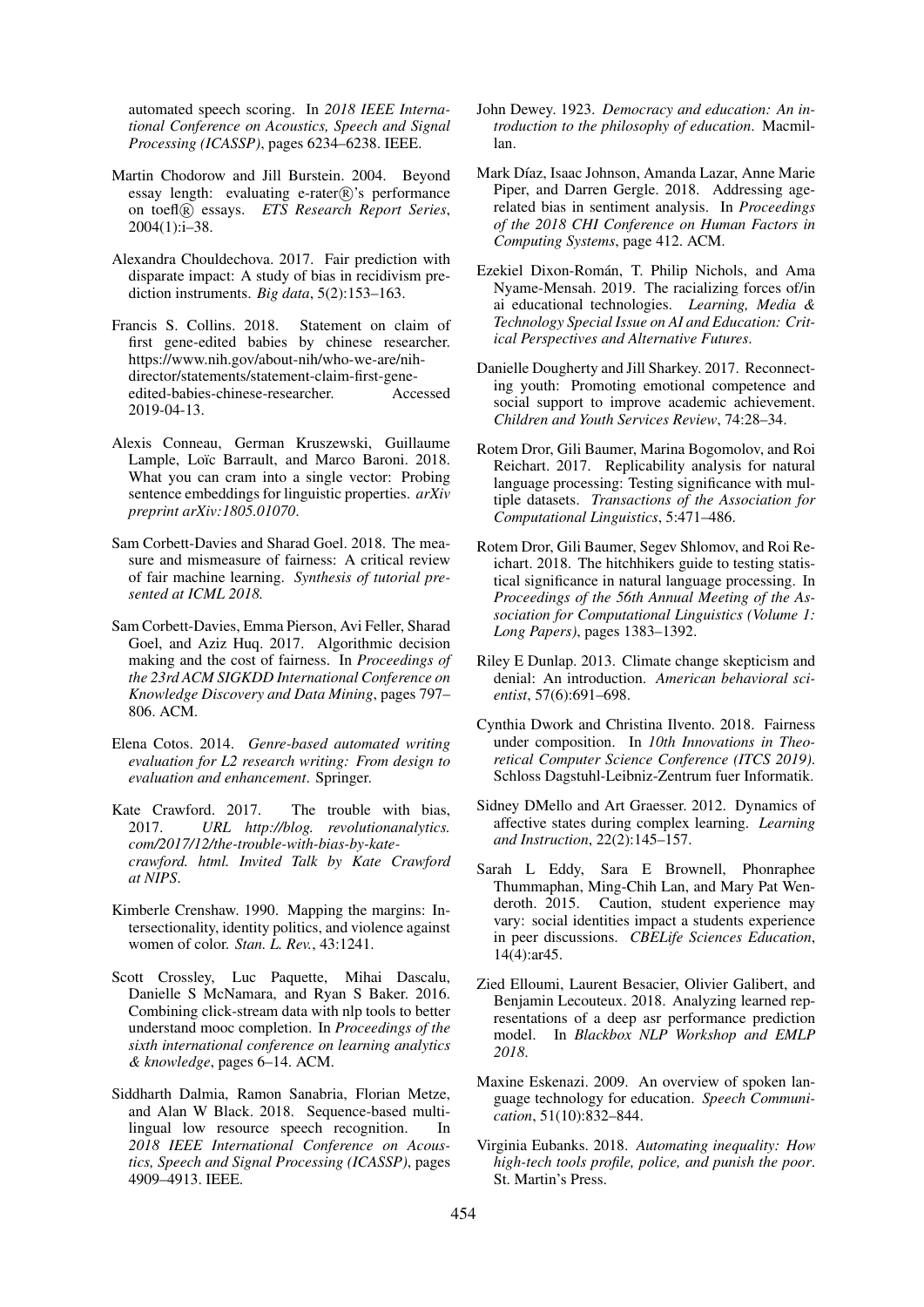automated speech scoring. In *2018 IEEE International Conference on Acoustics, Speech and Signal Processing (ICASSP)*, pages 6234–6238. IEEE.

- <span id="page-10-12"></span>Martin Chodorow and Jill Burstein. 2004. Beyond essay length: evaluating e-rater®'s performance on toefl <sup>R</sup> essays. *ETS Research Report Series*, 2004(1):i–38.
- <span id="page-10-5"></span>Alexandra Chouldechova. 2017. Fair prediction with disparate impact: A study of bias in recidivism prediction instruments. *Big data*, 5(2):153–163.
- <span id="page-10-19"></span>Francis S. Collins. 2018. Statement on claim of first gene-edited babies by chinese researcher. https://www.nih.gov/about-nih/who-we-are/nihdirector/statements/statement-claim-first-gene-<br>edited-babies-chinese-researcher. Accessed edited-babies-chinese-researcher. 2019-04-13.
- <span id="page-10-20"></span>Alexis Conneau, German Kruszewski, Guillaume Lample, Loïc Barrault, and Marco Baroni. 2018. What you can cram into a single vector: Probing sentence embeddings for linguistic properties. *arXiv preprint arXiv:1805.01070*.
- <span id="page-10-6"></span>Sam Corbett-Davies and Sharad Goel. 2018. The measure and mismeasure of fairness: A critical review of fair machine learning. *Synthesis of tutorial presented at ICML 2018.*
- <span id="page-10-4"></span>Sam Corbett-Davies, Emma Pierson, Avi Feller, Sharad Goel, and Aziz Huq. 2017. Algorithmic decision making and the cost of fairness. In *Proceedings of the 23rd ACM SIGKDD International Conference on Knowledge Discovery and Data Mining*, pages 797– 806. ACM.
- <span id="page-10-10"></span>Elena Cotos. 2014. *Genre-based automated writing evaluation for L2 research writing: From design to evaluation and enhancement*. Springer.
- <span id="page-10-3"></span>Kate Crawford. 2017. The trouble with bias, 2017. *URL http://blog. revolutionanalytics. com/2017/12/the-trouble-with-bias-by-katecrawford. html. Invited Talk by Kate Crawford at NIPS*.
- <span id="page-10-9"></span>Kimberle Crenshaw. 1990. Mapping the margins: Intersectionality, identity politics, and violence against women of color. *Stan. L. Rev.*, 43:1241.
- <span id="page-10-16"></span>Scott Crossley, Luc Paquette, Mihai Dascalu, Danielle S McNamara, and Ryan S Baker. 2016. Combining click-stream data with nlp tools to better understand mooc completion. In *Proceedings of the sixth international conference on learning analytics & knowledge*, pages 6–14. ACM.
- <span id="page-10-13"></span>Siddharth Dalmia, Ramon Sanabria, Florian Metze, and Alan W Black. 2018. Sequence-based multilingual low resource speech recognition. In *2018 IEEE International Conference on Acoustics, Speech and Signal Processing (ICASSP)*, pages 4909–4913. IEEE.
- <span id="page-10-2"></span>John Dewey. 1923. *Democracy and education: An introduction to the philosophy of education*. Macmillan.
- <span id="page-10-17"></span>Mark Díaz, Isaac Johnson, Amanda Lazar, Anne Marie Piper, and Darren Gergle. 2018. Addressing agerelated bias in sentiment analysis. In *Proceedings of the 2018 CHI Conference on Human Factors in Computing Systems*, page 412. ACM.
- <span id="page-10-11"></span>Ezekiel Dixon-Román, T. Philip Nichols, and Ama Nyame-Mensah. 2019. The racializing forces of/in ai educational technologies. *Learning, Media & Technology Special Issue on AI and Education: Critical Perspectives and Alternative Futures*.
- <span id="page-10-14"></span>Danielle Dougherty and Jill Sharkey. 2017. Reconnecting youth: Promoting emotional competence and social support to improve academic achievement. *Children and Youth Services Review*, 74:28–34.
- <span id="page-10-22"></span>Rotem Dror, Gili Baumer, Marina Bogomolov, and Roi Reichart. 2017. Replicability analysis for natural language processing: Testing significance with multiple datasets. *Transactions of the Association for Computational Linguistics*, 5:471–486.
- <span id="page-10-23"></span>Rotem Dror, Gili Baumer, Segev Shlomov, and Roi Reichart. 2018. The hitchhikers guide to testing statistical significance in natural language processing. In *Proceedings of the 56th Annual Meeting of the Association for Computational Linguistics (Volume 1: Long Papers)*, pages 1383–1392.
- <span id="page-10-18"></span>Riley E Dunlap. 2013. Climate change skepticism and denial: An introduction. *American behavioral scientist*, 57(6):691–698.
- <span id="page-10-7"></span>Cynthia Dwork and Christina Ilvento. 2018. Fairness under composition. In *10th Innovations in Theoretical Computer Science Conference (ITCS 2019)*. Schloss Dagstuhl-Leibniz-Zentrum fuer Informatik.
- <span id="page-10-15"></span>Sidney DMello and Art Graesser. 2012. Dynamics of affective states during complex learning. *Learning and Instruction*, 22(2):145–157.
- <span id="page-10-8"></span>Sarah L Eddy, Sara E Brownell, Phonraphee Thummaphan, Ming-Chih Lan, and Mary Pat Wenderoth. 2015. Caution, student experience may vary: social identities impact a students experience in peer discussions. *CBELife Sciences Education*, 14(4):ar45.
- <span id="page-10-21"></span>Zied Elloumi, Laurent Besacier, Olivier Galibert, and Benjamin Lecouteux. 2018. Analyzing learned representations of a deep asr performance prediction model. In *Blackbox NLP Workshop and EMLP 2018*.
- <span id="page-10-1"></span>Maxine Eskenazi. 2009. An overview of spoken language technology for education. *Speech Communication*, 51(10):832–844.
- <span id="page-10-0"></span>Virginia Eubanks. 2018. *Automating inequality: How high-tech tools profile, police, and punish the poor*. St. Martin's Press.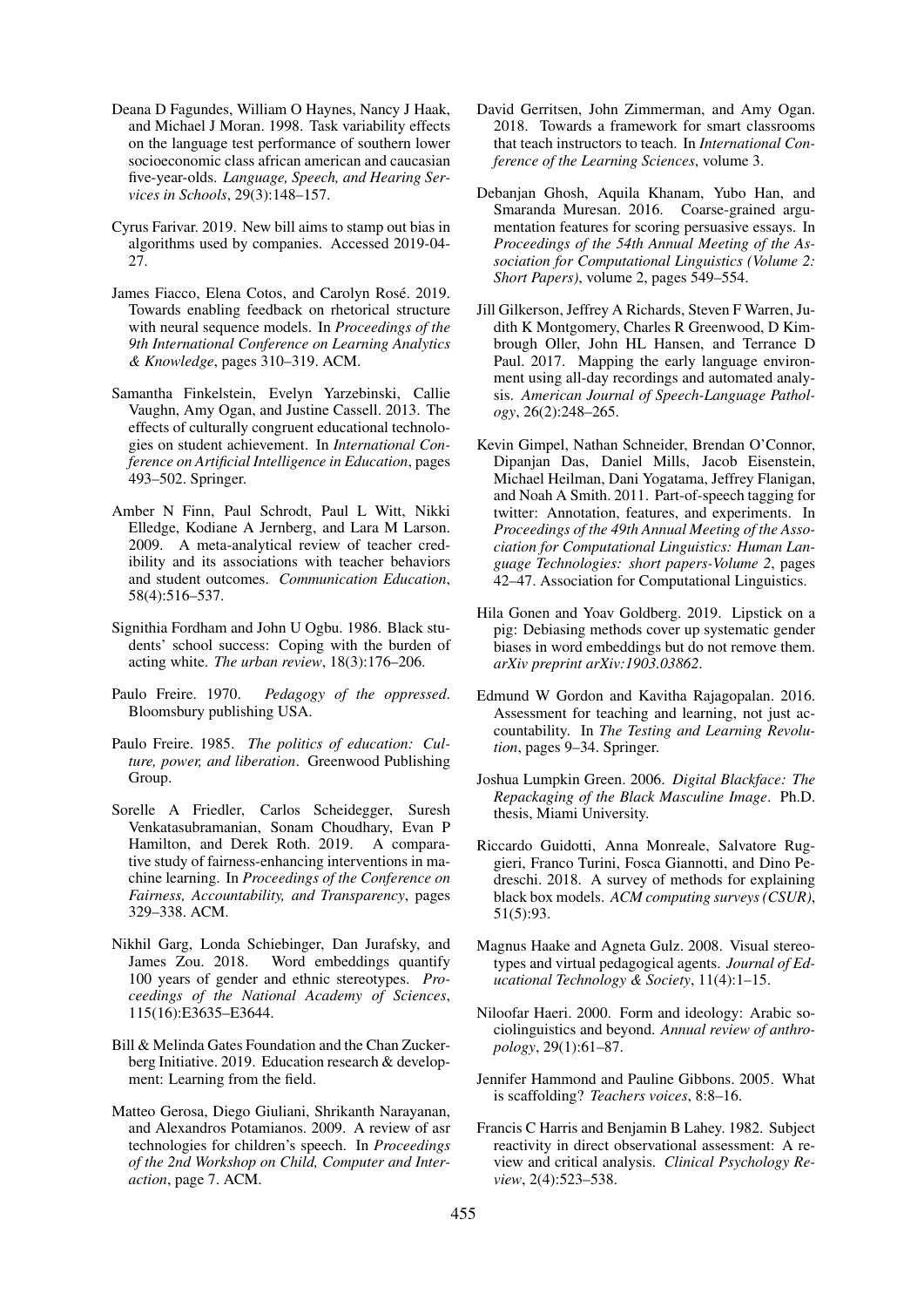- <span id="page-11-13"></span>Deana D Fagundes, William O Haynes, Nancy J Haak, and Michael J Moran. 1998. Task variability effects on the language test performance of southern lower socioeconomic class african american and caucasian five-year-olds. *Language, Speech, and Hearing Services in Schools*, 29(3):148–157.
- <span id="page-11-21"></span>Cyrus Farivar. 2019. New bill aims to stamp out bias in algorithms used by companies. Accessed 2019-04- 27.
- <span id="page-11-15"></span>James Fiacco, Elena Cotos, and Carolyn Rosé. 2019. Towards enabling feedback on rhetorical structure with neural sequence models. In *Proceedings of the 9th International Conference on Learning Analytics & Knowledge*, pages 310–319. ACM.
- <span id="page-11-11"></span>Samantha Finkelstein, Evelyn Yarzebinski, Callie Vaughn, Amy Ogan, and Justine Cassell. 2013. The effects of culturally congruent educational technologies on student achievement. In *International Conference on Artificial Intelligence in Education*, pages 493–502. Springer.
- <span id="page-11-8"></span>Amber N Finn, Paul Schrodt, Paul L Witt, Nikki Elledge, Kodiane A Jernberg, and Lara M Larson. 2009. A meta-analytical review of teacher credibility and its associations with teacher behaviors and student outcomes. *Communication Education*, 58(4):516–537.
- <span id="page-11-10"></span>Signithia Fordham and John U Ogbu. 1986. Black students' school success: Coping with the burden of acting white. *The urban review*, 18(3):176–206.
- <span id="page-11-1"></span>Paulo Freire. 1970. *Pedagogy of the oppressed*. Bloomsbury publishing USA.
- <span id="page-11-7"></span>Paulo Freire. 1985. *The politics of education: Culture, power, and liberation*. Greenwood Publishing Group.
- <span id="page-11-2"></span>Sorelle A Friedler, Carlos Scheidegger, Suresh Venkatasubramanian, Sonam Choudhary, Evan P Hamilton, and Derek Roth. 2019. A comparative study of fairness-enhancing interventions in machine learning. In *Proceedings of the Conference on Fairness, Accountability, and Transparency*, pages 329–338. ACM.
- <span id="page-11-3"></span>Nikhil Garg, Londa Schiebinger, Dan Jurafsky, and James Zou. 2018. Word embeddings quantify 100 years of gender and ethnic stereotypes. *Proceedings of the National Academy of Sciences*, 115(16):E3635–E3644.
- <span id="page-11-0"></span>Bill & Melinda Gates Foundation and the Chan Zuckerberg Initiative. 2019. Education research & development: Learning from the field.
- <span id="page-11-12"></span>Matteo Gerosa, Diego Giuliani, Shrikanth Narayanan, and Alexandros Potamianos. 2009. A review of asr technologies for children's speech. In *Proceedings of the 2nd Workshop on Child, Computer and Interaction*, page 7. ACM.
- <span id="page-11-14"></span>David Gerritsen, John Zimmerman, and Amy Ogan. 2018. Towards a framework for smart classrooms that teach instructors to teach. In *International Conference of the Learning Sciences*, volume 3.
- <span id="page-11-17"></span>Debanjan Ghosh, Aquila Khanam, Yubo Han, and Smaranda Muresan. 2016. Coarse-grained argumentation features for scoring persuasive essays. In *Proceedings of the 54th Annual Meeting of the Association for Computational Linguistics (Volume 2: Short Papers)*, volume 2, pages 549–554.
- <span id="page-11-20"></span>Jill Gilkerson, Jeffrey A Richards, Steven F Warren, Judith K Montgomery, Charles R Greenwood, D Kimbrough Oller, John HL Hansen, and Terrance D Paul. 2017. Mapping the early language environment using all-day recordings and automated analysis. *American Journal of Speech-Language Pathology*, 26(2):248–265.
- <span id="page-11-5"></span>Kevin Gimpel, Nathan Schneider, Brendan O'Connor, Dipanjan Das, Daniel Mills, Jacob Eisenstein, Michael Heilman, Dani Yogatama, Jeffrey Flanigan, and Noah A Smith. 2011. Part-of-speech tagging for twitter: Annotation, features, and experiments. In *Proceedings of the 49th Annual Meeting of the Association for Computational Linguistics: Human Language Technologies: short papers-Volume 2*, pages 42–47. Association for Computational Linguistics.
- <span id="page-11-4"></span>Hila Gonen and Yoav Goldberg. 2019. Lipstick on a pig: Debiasing methods cover up systematic gender biases in word embeddings but do not remove them. *arXiv preprint arXiv:1903.03862*.
- <span id="page-11-23"></span>Edmund W Gordon and Kavitha Rajagopalan. 2016. Assessment for teaching and learning, not just accountability. In *The Testing and Learning Revolution*, pages 9–34. Springer.
- <span id="page-11-19"></span>Joshua Lumpkin Green. 2006. *Digital Blackface: The Repackaging of the Black Masculine Image*. Ph.D. thesis, Miami University.
- <span id="page-11-22"></span>Riccardo Guidotti, Anna Monreale, Salvatore Ruggieri, Franco Turini, Fosca Giannotti, and Dino Pedreschi. 2018. A survey of methods for explaining black box models. *ACM computing surveys (CSUR)*, 51(5):93.
- <span id="page-11-9"></span>Magnus Haake and Agneta Gulz. 2008. Visual stereotypes and virtual pedagogical agents. *Journal of Educational Technology & Society*, 11(4):1–15.
- <span id="page-11-16"></span>Niloofar Haeri. 2000. Form and ideology: Arabic sociolinguistics and beyond. *Annual review of anthropology*, 29(1):61–87.
- <span id="page-11-6"></span>Jennifer Hammond and Pauline Gibbons. 2005. What is scaffolding? *Teachers voices*, 8:8–16.
- <span id="page-11-18"></span>Francis C Harris and Benjamin B Lahey. 1982. Subject reactivity in direct observational assessment: A review and critical analysis. *Clinical Psychology Review*, 2(4):523–538.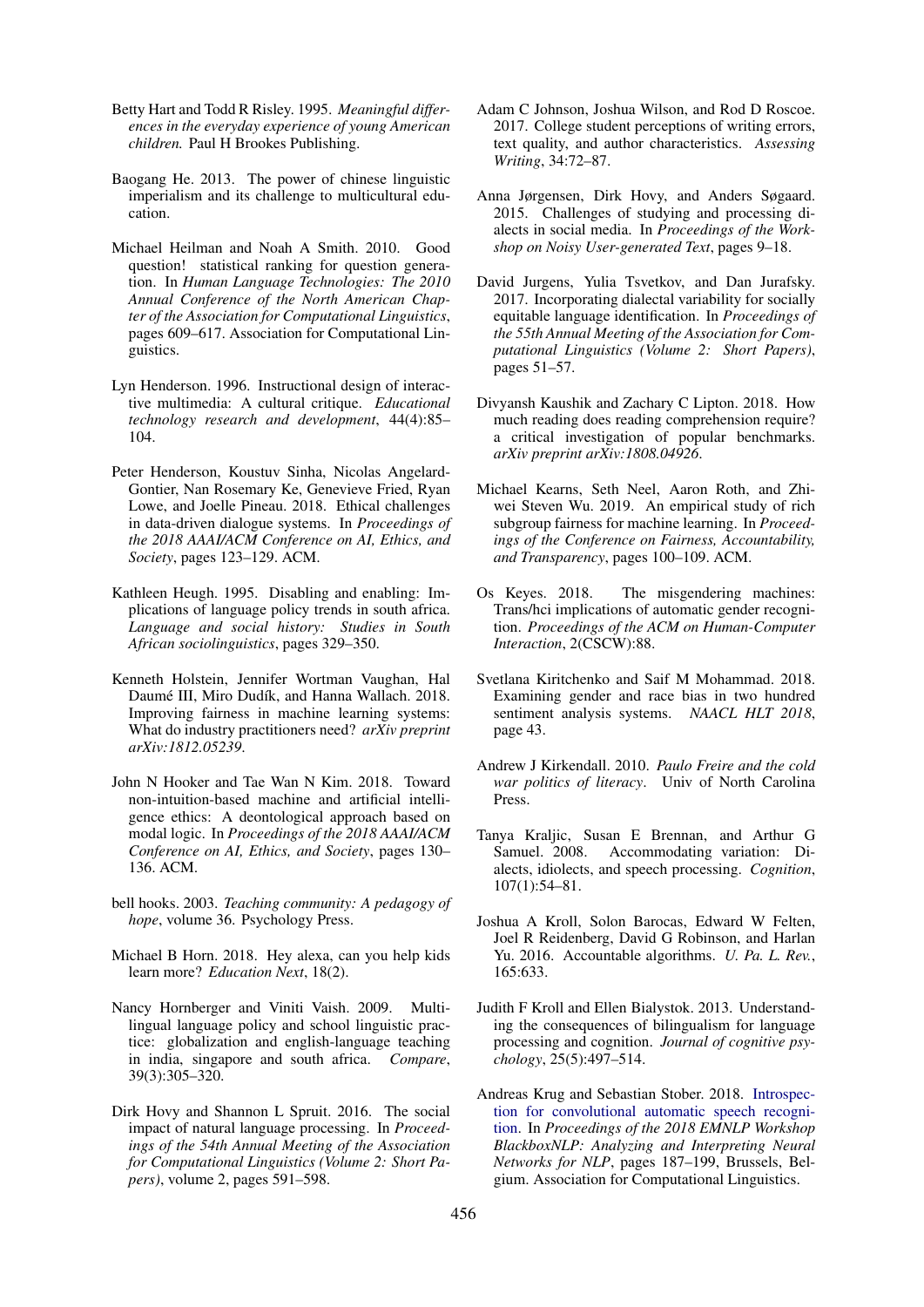- <span id="page-12-20"></span>Betty Hart and Todd R Risley. 1995. *Meaningful differences in the everyday experience of young American children.* Paul H Brookes Publishing.
- <span id="page-12-17"></span>Baogang He. 2013. The power of chinese linguistic imperialism and its challenge to multicultural education.
- <span id="page-12-12"></span>Michael Heilman and Noah A Smith. 2010. Good question! statistical ranking for question generation. In *Human Language Technologies: The 2010 Annual Conference of the North American Chapter of the Association for Computational Linguistics*, pages 609–617. Association for Computational Linguistics.
- <span id="page-12-18"></span>Lyn Henderson. 1996. Instructional design of interactive multimedia: A cultural critique. *Educational technology research and development*, 44(4):85– 104.
- <span id="page-12-2"></span>Peter Henderson, Koustuv Sinha, Nicolas Angelard-Gontier, Nan Rosemary Ke, Genevieve Fried, Ryan Lowe, and Joelle Pineau. 2018. Ethical challenges in data-driven dialogue systems. In *Proceedings of the 2018 AAAI/ACM Conference on AI, Ethics, and Society*, pages 123–129. ACM.
- <span id="page-12-16"></span>Kathleen Heugh. 1995. Disabling and enabling: Implications of language policy trends in south africa. *Language and social history: Studies in South African sociolinguistics*, pages 329–350.
- <span id="page-12-14"></span>Kenneth Holstein, Jennifer Wortman Vaughan, Hal Daumé III, Miro Dudík, and Hanna Wallach. 2018. Improving fairness in machine learning systems: What do industry practitioners need? *arXiv preprint arXiv:1812.05239*.
- <span id="page-12-6"></span>John N Hooker and Tae Wan N Kim. 2018. Toward non-intuition-based machine and artificial intelligence ethics: A deontological approach based on modal logic. In *Proceedings of the 2018 AAAI/ACM Conference on AI, Ethics, and Society*, pages 130– 136. ACM.
- <span id="page-12-9"></span>bell hooks. 2003. *Teaching community: A pedagogy of hope*, volume 36. Psychology Press.
- <span id="page-12-0"></span>Michael B Horn. 2018. Hey alexa, can you help kids learn more? *Education Next*, 18(2).
- <span id="page-12-15"></span>Nancy Hornberger and Viniti Vaish. 2009. Multilingual language policy and school linguistic practice: globalization and english-language teaching in india, singapore and south africa. *Compare*, 39(3):305–320.
- <span id="page-12-3"></span>Dirk Hovy and Shannon L Spruit. 2016. The social impact of natural language processing. In *Proceedings of the 54th Annual Meeting of the Association for Computational Linguistics (Volume 2: Short Papers)*, volume 2, pages 591–598.
- <span id="page-12-13"></span>Adam C Johnson, Joshua Wilson, and Rod D Roscoe. 2017. College student perceptions of writing errors, text quality, and author characteristics. *Assessing Writing*, 34:72–87.
- <span id="page-12-11"></span>Anna Jørgensen, Dirk Hovy, and Anders Søgaard. 2015. Challenges of studying and processing dialects in social media. In *Proceedings of the Workshop on Noisy User-generated Text*, pages 9–18.
- <span id="page-12-5"></span>David Jurgens, Yulia Tsvetkov, and Dan Jurafsky. 2017. Incorporating dialectal variability for socially equitable language identification. In *Proceedings of the 55th Annual Meeting of the Association for Computational Linguistics (Volume 2: Short Papers)*, pages 51–57.
- <span id="page-12-23"></span>Divyansh Kaushik and Zachary C Lipton. 2018. How much reading does reading comprehension require? a critical investigation of popular benchmarks. *arXiv preprint arXiv:1808.04926*.
- <span id="page-12-7"></span>Michael Kearns, Seth Neel, Aaron Roth, and Zhiwei Steven Wu. 2019. An empirical study of rich subgroup fairness for machine learning. In *Proceedings of the Conference on Fairness, Accountability, and Transparency*, pages 100–109. ACM.
- <span id="page-12-10"></span>Os Keyes. 2018. The misgendering machines: Trans/hci implications of automatic gender recognition. *Proceedings of the ACM on Human-Computer Interaction*, 2(CSCW):88.
- <span id="page-12-1"></span>Svetlana Kiritchenko and Saif M Mohammad. 2018. Examining gender and race bias in two hundred sentiment analysis systems. *NAACL HLT 2018*, page 43.
- <span id="page-12-8"></span>Andrew J Kirkendall. 2010. *Paulo Freire and the cold war politics of literacy*. Univ of North Carolina Press.
- <span id="page-12-4"></span>Tanya Kraljic, Susan E Brennan, and Arthur G Samuel. 2008. Accommodating variation: Dialects, idiolects, and speech processing. *Cognition*, 107(1):54–81.
- <span id="page-12-21"></span>Joshua A Kroll, Solon Barocas, Edward W Felten, Joel R Reidenberg, David G Robinson, and Harlan Yu. 2016. Accountable algorithms. *U. Pa. L. Rev.*, 165:633.
- <span id="page-12-19"></span>Judith F Kroll and Ellen Bialystok. 2013. Understanding the consequences of bilingualism for language processing and cognition. *Journal of cognitive psychology*, 25(5):497–514.
- <span id="page-12-22"></span>Andreas Krug and Sebastian Stober. 2018. [Introspec](https://www.aclweb.org/anthology/W18-5421)[tion for convolutional automatic speech recogni](https://www.aclweb.org/anthology/W18-5421)[tion.](https://www.aclweb.org/anthology/W18-5421) In *Proceedings of the 2018 EMNLP Workshop BlackboxNLP: Analyzing and Interpreting Neural Networks for NLP*, pages 187–199, Brussels, Belgium. Association for Computational Linguistics.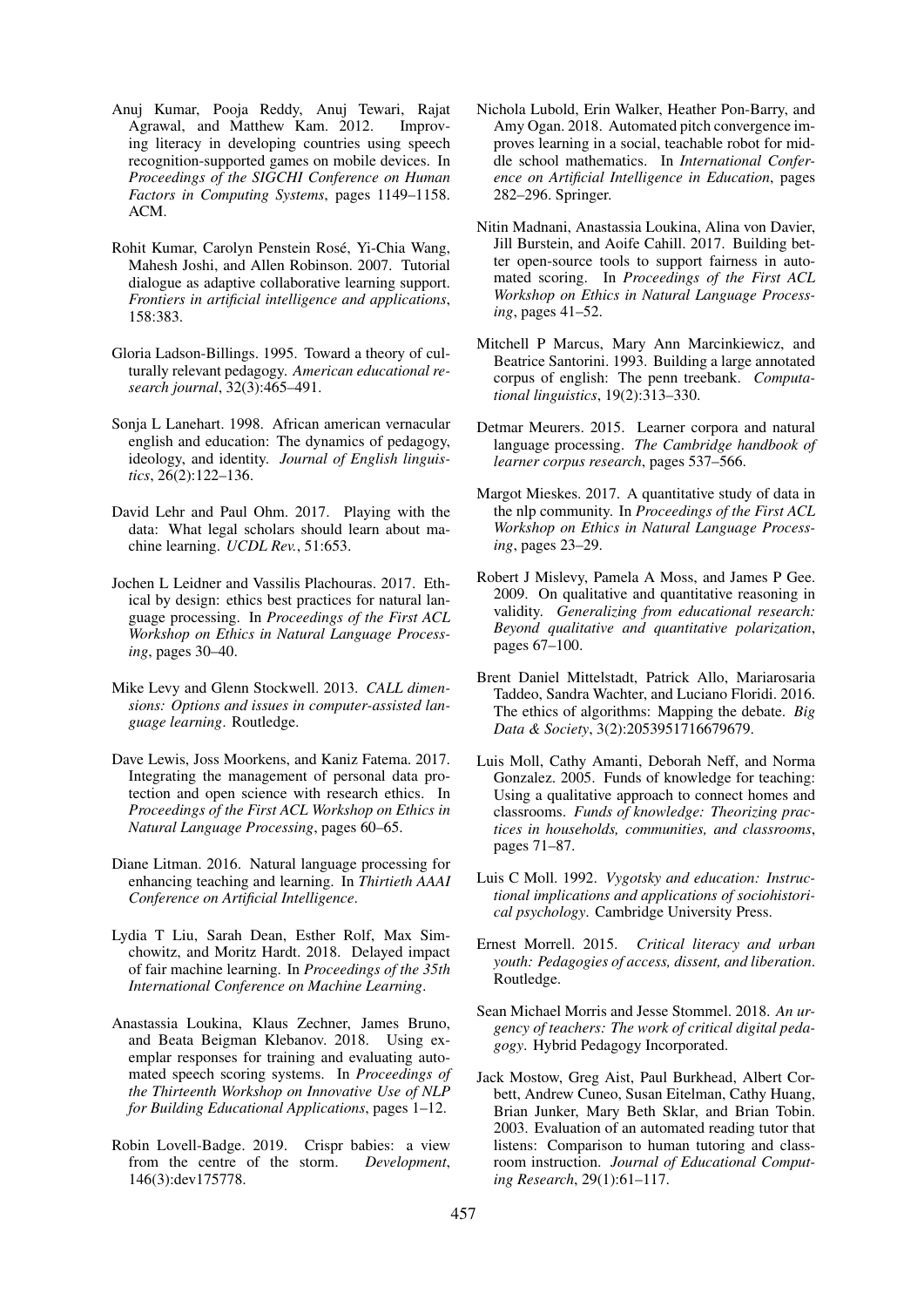- <span id="page-13-15"></span>Anuj Kumar, Pooja Reddy, Anuj Tewari, Rajat Agrawal, and Matthew Kam. 2012. Improving literacy in developing countries using speech recognition-supported games on mobile devices. In *Proceedings of the SIGCHI Conference on Human Factors in Computing Systems*, pages 1149–1158. ACM.
- <span id="page-13-11"></span>Rohit Kumar, Carolyn Penstein Rose, Yi-Chia Wang, ´ Mahesh Joshi, and Allen Robinson. 2007. Tutorial dialogue as adaptive collaborative learning support. *Frontiers in artificial intelligence and applications*, 158:383.
- <span id="page-13-1"></span>Gloria Ladson-Billings. 1995. Toward a theory of culturally relevant pedagogy. *American educational research journal*, 32(3):465–491.
- <span id="page-13-12"></span>Sonja L Lanehart. 1998. African american vernacular english and education: The dynamics of pedagogy, ideology, and identity. *Journal of English linguistics*, 26(2):122–136.
- <span id="page-13-17"></span>David Lehr and Paul Ohm. 2017. Playing with the data: What legal scholars should learn about machine learning. *UCDL Rev.*, 51:653.
- <span id="page-13-23"></span>Jochen L Leidner and Vassilis Plachouras. 2017. Ethical by design: ethics best practices for natural language processing. In *Proceedings of the First ACL Workshop on Ethics in Natural Language Processing*, pages 30–40.
- <span id="page-13-18"></span>Mike Levy and Glenn Stockwell. 2013. *CALL dimensions: Options and issues in computer-assisted language learning*. Routledge.
- <span id="page-13-20"></span>Dave Lewis, Joss Moorkens, and Kaniz Fatema. 2017. Integrating the management of personal data protection and open science with research ethics. In *Proceedings of the First ACL Workshop on Ethics in Natural Language Processing*, pages 60–65.
- <span id="page-13-0"></span>Diane Litman. 2016. Natural language processing for enhancing teaching and learning. In *Thirtieth AAAI Conference on Artificial Intelligence*.
- <span id="page-13-5"></span>Lydia T Liu, Sarah Dean, Esther Rolf, Max Simchowitz, and Moritz Hardt. 2018. Delayed impact of fair machine learning. In *Proceedings of the 35th International Conference on Machine Learning*.
- <span id="page-13-16"></span>Anastassia Loukina, Klaus Zechner, James Bruno, and Beata Beigman Klebanov. 2018. Using exemplar responses for training and evaluating automated speech scoring systems. In *Proceedings of the Thirteenth Workshop on Innovative Use of NLP for Building Educational Applications*, pages 1–12.
- <span id="page-13-22"></span>Robin Lovell-Badge. 2019. Crispr babies: a view from the centre of the storm. *Development*, 146(3):dev175778.
- <span id="page-13-10"></span>Nichola Lubold, Erin Walker, Heather Pon-Barry, and Amy Ogan. 2018. Automated pitch convergence improves learning in a social, teachable robot for middle school mathematics. In *International Conference on Artificial Intelligence in Education*, pages 282–296. Springer.
- <span id="page-13-9"></span>Nitin Madnani, Anastassia Loukina, Alina von Davier, Jill Burstein, and Aoife Cahill. 2017. Building better open-source tools to support fairness in automated scoring. In *Proceedings of the First ACL Workshop on Ethics in Natural Language Processing*, pages 41–52.
- <span id="page-13-4"></span>Mitchell P Marcus, Mary Ann Marcinkiewicz, and Beatrice Santorini. 1993. Building a large annotated corpus of english: The penn treebank. *Computational linguistics*, 19(2):313–330.
- <span id="page-13-19"></span>Detmar Meurers. 2015. Learner corpora and natural language processing. *The Cambridge handbook of learner corpus research*, pages 537–566.
- <span id="page-13-21"></span>Margot Mieskes. 2017. A quantitative study of data in the nlp community. In *Proceedings of the First ACL Workshop on Ethics in Natural Language Processing*, pages 23–29.
- <span id="page-13-7"></span>Robert J Mislevy, Pamela A Moss, and James P Gee. 2009. On qualitative and quantitative reasoning in validity. *Generalizing from educational research: Beyond qualitative and quantitative polarization*, pages 67–100.
- <span id="page-13-3"></span>Brent Daniel Mittelstadt, Patrick Allo, Mariarosaria Taddeo, Sandra Wachter, and Luciano Floridi. 2016. The ethics of algorithms: Mapping the debate. *Big Data & Society*, 3(2):2053951716679679.
- <span id="page-13-13"></span>Luis Moll, Cathy Amanti, Deborah Neff, and Norma Gonzalez. 2005. Funds of knowledge for teaching: Using a qualitative approach to connect homes and classrooms. *Funds of knowledge: Theorizing practices in households, communities, and classrooms*, pages 71–87.
- <span id="page-13-6"></span>Luis C Moll. 1992. *Vygotsky and education: Instructional implications and applications of sociohistorical psychology*. Cambridge University Press.
- <span id="page-13-2"></span>Ernest Morrell. 2015. *Critical literacy and urban youth: Pedagogies of access, dissent, and liberation*. Routledge.
- <span id="page-13-8"></span>Sean Michael Morris and Jesse Stommel. 2018. *An urgency of teachers: The work of critical digital pedagogy*. Hybrid Pedagogy Incorporated.
- <span id="page-13-14"></span>Jack Mostow, Greg Aist, Paul Burkhead, Albert Corbett, Andrew Cuneo, Susan Eitelman, Cathy Huang, Brian Junker, Mary Beth Sklar, and Brian Tobin. 2003. Evaluation of an automated reading tutor that listens: Comparison to human tutoring and classroom instruction. *Journal of Educational Computing Research*, 29(1):61–117.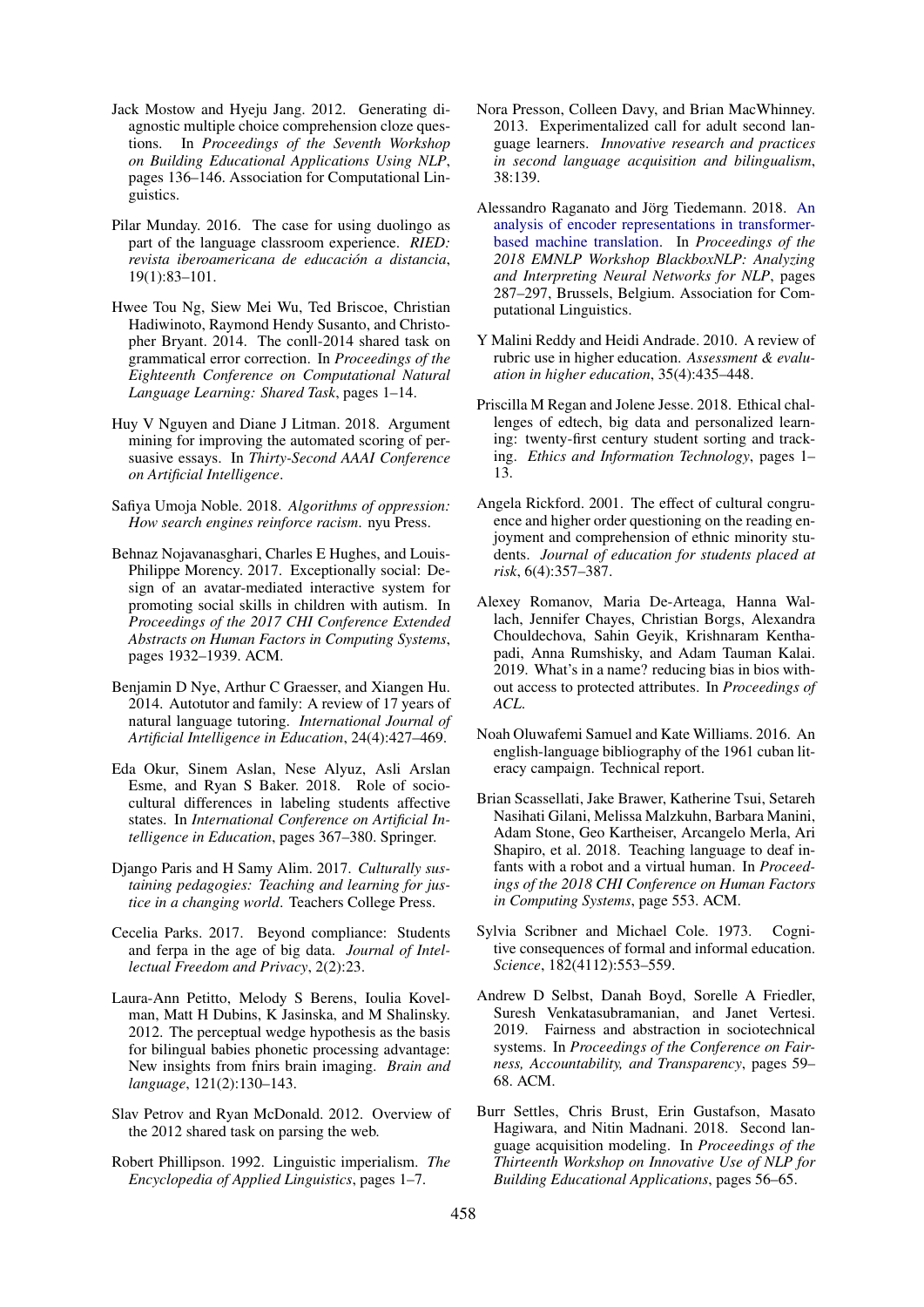- <span id="page-14-10"></span>Jack Mostow and Hyeju Jang. 2012. Generating diagnostic multiple choice comprehension cloze questions. In *Proceedings of the Seventh Workshop on Building Educational Applications Using NLP*, pages 136–146. Association for Computational Linguistics.
- <span id="page-14-18"></span>Pilar Munday. 2016. The case for using duolingo as part of the language classroom experience. *RIED: revista iberoamericana de educacion a distancia ´* , 19(1):83–101.
- <span id="page-14-12"></span>Hwee Tou Ng, Siew Mei Wu, Ted Briscoe, Christian Hadiwinoto, Raymond Hendy Susanto, and Christopher Bryant. 2014. The conll-2014 shared task on grammatical error correction. In *Proceedings of the Eighteenth Conference on Computational Natural Language Learning: Shared Task*, pages 1–14.
- <span id="page-14-11"></span>Huy V Nguyen and Diane J Litman. 2018. Argument mining for improving the automated scoring of persuasive essays. In *Thirty-Second AAAI Conference on Artificial Intelligence*.
- <span id="page-14-0"></span>Safiya Umoja Noble. 2018. *Algorithms of oppression: How search engines reinforce racism*. nyu Press.
- <span id="page-14-7"></span>Behnaz Nojavanasghari, Charles E Hughes, and Louis-Philippe Morency. 2017. Exceptionally social: Design of an avatar-mediated interactive system for promoting social skills in children with autism. In *Proceedings of the 2017 CHI Conference Extended Abstracts on Human Factors in Computing Systems*, pages 1932–1939. ACM.
- <span id="page-14-6"></span>Benjamin D Nye, Arthur C Graesser, and Xiangen Hu. 2014. Autotutor and family: A review of 17 years of natural language tutoring. *International Journal of Artificial Intelligence in Education*, 24(4):427–469.
- <span id="page-14-21"></span>Eda Okur, Sinem Aslan, Nese Alyuz, Asli Arslan Esme, and Ryan S Baker. 2018. Role of sociocultural differences in labeling students affective states. In *International Conference on Artificial Intelligence in Education*, pages 367–380. Springer.
- <span id="page-14-1"></span>Django Paris and H Samy Alim. 2017. *Culturally sustaining pedagogies: Teaching and learning for justice in a changing world*. Teachers College Press.
- <span id="page-14-20"></span>Cecelia Parks. 2017. Beyond compliance: Students and ferpa in the age of big data. *Journal of Intellectual Freedom and Privacy*, 2(2):23.
- <span id="page-14-15"></span>Laura-Ann Petitto, Melody S Berens, Ioulia Kovelman, Matt H Dubins, K Jasinska, and M Shalinsky. 2012. The perceptual wedge hypothesis as the basis for bilingual babies phonetic processing advantage: New insights from fnirs brain imaging. *Brain and language*, 121(2):130–143.
- <span id="page-14-3"></span>Slav Petrov and Ryan McDonald. 2012. Overview of the 2012 shared task on parsing the web.
- <span id="page-14-14"></span>Robert Phillipson. 1992. Linguistic imperialism. *The Encyclopedia of Applied Linguistics*, pages 1–7.
- <span id="page-14-16"></span>Nora Presson, Colleen Davy, and Brian MacWhinney. 2013. Experimentalized call for adult second language learners. *Innovative research and practices in second language acquisition and bilingualism*, 38:139.
- <span id="page-14-22"></span>Alessandro Raganato and Jörg Tiedemann. 2018. [An](https://www.aclweb.org/anthology/W18-5431) [analysis of encoder representations in transformer](https://www.aclweb.org/anthology/W18-5431)[based machine translation.](https://www.aclweb.org/anthology/W18-5431) In *Proceedings of the 2018 EMNLP Workshop BlackboxNLP: Analyzing and Interpreting Neural Networks for NLP*, pages 287–297, Brussels, Belgium. Association for Computational Linguistics.
- <span id="page-14-13"></span>Y Malini Reddy and Heidi Andrade. 2010. A review of rubric use in higher education. *Assessment & evaluation in higher education*, 35(4):435–448.
- <span id="page-14-19"></span>Priscilla M Regan and Jolene Jesse. 2018. Ethical challenges of edtech, big data and personalized learning: twenty-first century student sorting and tracking. *Ethics and Information Technology*, pages 1– 13.
- <span id="page-14-9"></span>Angela Rickford. 2001. The effect of cultural congruence and higher order questioning on the reading enjoyment and comprehension of ethnic minority students. *Journal of education for students placed at risk*, 6(4):357–387.
- <span id="page-14-2"></span>Alexey Romanov, Maria De-Arteaga, Hanna Wallach, Jennifer Chayes, Christian Borgs, Alexandra Chouldechova, Sahin Geyik, Krishnaram Kenthapadi, Anna Rumshisky, and Adam Tauman Kalai. 2019. What's in a name? reducing bias in bios without access to protected attributes. In *Proceedings of ACL*.
- <span id="page-14-5"></span>Noah Oluwafemi Samuel and Kate Williams. 2016. An english-language bibliography of the 1961 cuban literacy campaign. Technical report.
- <span id="page-14-8"></span>Brian Scassellati, Jake Brawer, Katherine Tsui, Setareh Nasihati Gilani, Melissa Malzkuhn, Barbara Manini, Adam Stone, Geo Kartheiser, Arcangelo Merla, Ari Shapiro, et al. 2018. Teaching language to deaf infants with a robot and a virtual human. In *Proceedings of the 2018 CHI Conference on Human Factors in Computing Systems*, page 553. ACM.
- <span id="page-14-4"></span>Sylvia Scribner and Michael Cole. 1973. Cognitive consequences of formal and informal education. *Science*, 182(4112):553–559.
- <span id="page-14-23"></span>Andrew D Selbst, Danah Boyd, Sorelle A Friedler, Suresh Venkatasubramanian, and Janet Vertesi. 2019. Fairness and abstraction in sociotechnical systems. In *Proceedings of the Conference on Fairness, Accountability, and Transparency*, pages 59– 68. ACM.
- <span id="page-14-17"></span>Burr Settles, Chris Brust, Erin Gustafson, Masato Hagiwara, and Nitin Madnani. 2018. Second language acquisition modeling. In *Proceedings of the Thirteenth Workshop on Innovative Use of NLP for Building Educational Applications*, pages 56–65.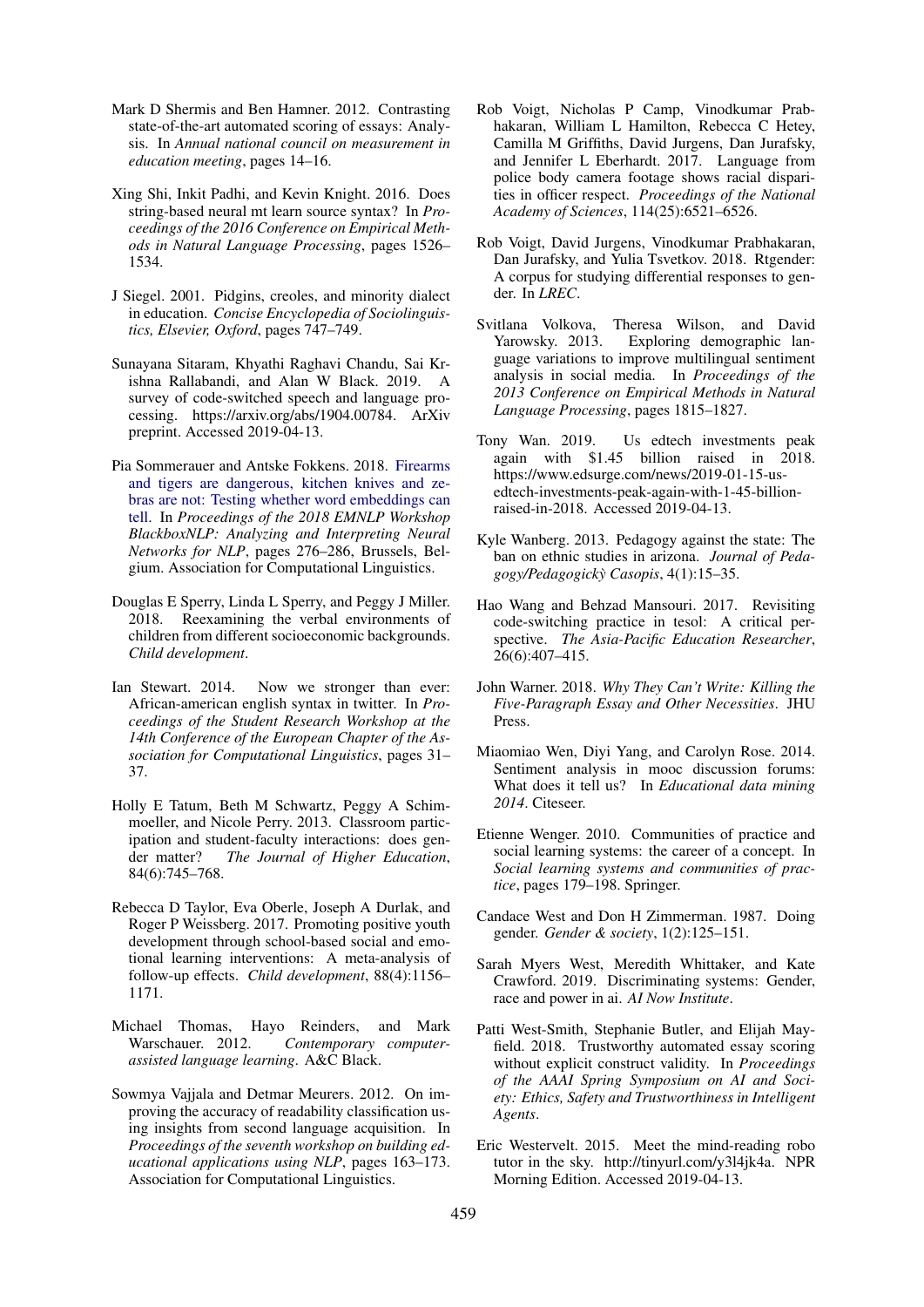- <span id="page-15-9"></span>Mark D Shermis and Ben Hamner. 2012. Contrasting state-of-the-art automated scoring of essays: Analysis. In *Annual national council on measurement in education meeting*, pages 14–16.
- <span id="page-15-22"></span>Xing Shi, Inkit Padhi, and Kevin Knight. 2016. Does string-based neural mt learn source syntax? In *Proceedings of the 2016 Conference on Empirical Methods in Natural Language Processing*, pages 1526– 1534.
- <span id="page-15-6"></span>J Siegel. 2001. Pidgins, creoles, and minority dialect in education. *Concise Encyclopedia of Sociolinguistics, Elsevier, Oxford*, pages 747–749.
- <span id="page-15-14"></span>Sunayana Sitaram, Khyathi Raghavi Chandu, Sai Krishna Rallabandi, and Alan W Black. 2019. survey of code-switched speech and language processing. https://arxiv.org/abs/1904.00784. ArXiv preprint. Accessed 2019-04-13.
- <span id="page-15-21"></span>Pia Sommerauer and Antske Fokkens. 2018. [Firearms](https://www.aclweb.org/anthology/W18-5430) [and tigers are dangerous, kitchen knives and ze](https://www.aclweb.org/anthology/W18-5430)[bras are not: Testing whether word embeddings can](https://www.aclweb.org/anthology/W18-5430) [tell.](https://www.aclweb.org/anthology/W18-5430) In *Proceedings of the 2018 EMNLP Workshop BlackboxNLP: Analyzing and Interpreting Neural Networks for NLP*, pages 276–286, Brussels, Belgium. Association for Computational Linguistics.
- <span id="page-15-20"></span>Douglas E Sperry, Linda L Sperry, and Peggy J Miller. 2018. Reexamining the verbal environments of children from different socioeconomic backgrounds. *Child development*.
- <span id="page-15-7"></span>Ian Stewart. 2014. Now we stronger than ever: African-american english syntax in twitter. In *Proceedings of the Student Research Workshop at the 14th Conference of the European Chapter of the Association for Computational Linguistics*, pages 31– 37.
- <span id="page-15-3"></span>Holly E Tatum, Beth M Schwartz, Peggy A Schimmoeller, and Nicole Perry. 2013. Classroom participation and student-faculty interactions: does gender matter? *The Journal of Higher Education*, 84(6):745–768.
- <span id="page-15-15"></span>Rebecca D Taylor, Eva Oberle, Joseph A Durlak, and Roger P Weissberg. 2017. Promoting positive youth development through school-based social and emotional learning interventions: A meta-analysis of follow-up effects. *Child development*, 88(4):1156– 1171.
- <span id="page-15-13"></span>Michael Thomas, Hayo Reinders, and Mark Warschauer. 2012. *Contemporary computerassisted language learning*. A&C Black.
- <span id="page-15-8"></span>Sowmya Vajjala and Detmar Meurers. 2012. On improving the accuracy of readability classification using insights from second language acquisition. In *Proceedings of the seventh workshop on building educational applications using NLP*, pages 163–173. Association for Computational Linguistics.
- <span id="page-15-18"></span>Rob Voigt, Nicholas P Camp, Vinodkumar Prabhakaran, William L Hamilton, Rebecca C Hetey, Camilla M Griffiths, David Jurgens, Dan Jurafsky, and Jennifer L Eberhardt. 2017. Language from police body camera footage shows racial disparities in officer respect. *Proceedings of the National Academy of Sciences*, 114(25):6521–6526.
- <span id="page-15-1"></span>Rob Voigt, David Jurgens, Vinodkumar Prabhakaran, Dan Jurafsky, and Yulia Tsvetkov. 2018. Rtgender: A corpus for studying differential responses to gender. In *LREC*.
- <span id="page-15-17"></span>Svitlana Volkova, Theresa Wilson, and David Yarowsky. 2013. Exploring demographic language variations to improve multilingual sentiment analysis in social media. In *Proceedings of the 2013 Conference on Empirical Methods in Natural Language Processing*, pages 1815–1827.
- <span id="page-15-0"></span>Tony Wan. 2019. Us edtech investments peak again with \$1.45 billion raised in 2018. https://www.edsurge.com/news/2019-01-15-usedtech-investments-peak-again-with-1-45-billionraised-in-2018. Accessed 2019-04-13.
- <span id="page-15-5"></span>Kyle Wanberg. 2013. Pedagogy against the state: The ban on ethnic studies in arizona. *Journal of Pedagogy/Pedagogicky Casopis `* , 4(1):15–35.
- <span id="page-15-12"></span>Hao Wang and Behzad Mansouri. 2017. Revisiting code-switching practice in tesol: A critical perspective. *The Asia-Pacific Education Researcher*, 26(6):407–415.
- <span id="page-15-10"></span>John Warner. 2018. *Why They Can't Write: Killing the Five-Paragraph Essay and Other Necessities*. JHU Press.
- <span id="page-15-16"></span>Miaomiao Wen, Diyi Yang, and Carolyn Rose. 2014. Sentiment analysis in mooc discussion forums: What does it tell us? In *Educational data mining 2014*. Citeseer.
- <span id="page-15-2"></span>Etienne Wenger. 2010. Communities of practice and social learning systems: the career of a concept. In *Social learning systems and communities of practice*, pages 179–198. Springer.
- <span id="page-15-4"></span>Candace West and Don H Zimmerman. 1987. Doing gender. *Gender & society*, 1(2):125–151.
- <span id="page-15-19"></span>Sarah Myers West, Meredith Whittaker, and Kate Crawford. 2019. Discriminating systems: Gender, race and power in ai. *AI Now Institute*.
- <span id="page-15-11"></span>Patti West-Smith, Stephanie Butler, and Elijah Mayfield. 2018. Trustworthy automated essay scoring without explicit construct validity. In *Proceedings of the AAAI Spring Symposium on AI and Society: Ethics, Safety and Trustworthiness in Intelligent Agents*.
- <span id="page-15-23"></span>Eric Westervelt. 2015. Meet the mind-reading robo tutor in the sky. http://tinyurl.com/y3l4jk4a. NPR Morning Edition. Accessed 2019-04-13.